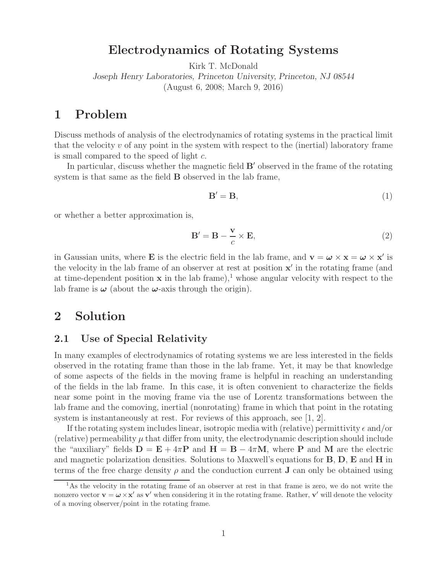## **Electrodynamics of Rotating Systems**

Kirk T. McDonald

*Joseph Henry Laboratories, Princeton University, Princeton, NJ 08544* (August 6, 2008; March 9, 2016)

## **1 Problem**

Discuss methods of analysis of the electrodynamics of rotating systems in the practical limit that the velocity  $v$  of any point in the system with respect to the (inertial) laboratory frame is small compared to the speed of light c.

In particular, discuss whether the magnetic field  $B'$  observed in the frame of the rotating system is that same as the field **B** observed in the lab frame,

$$
\mathbf{B}' = \mathbf{B},\tag{1}
$$

or whether a better approximation is,

$$
\mathbf{B}' = \mathbf{B} - \frac{\mathbf{v}}{c} \times \mathbf{E},\tag{2}
$$

in Gaussian units, where **E** is the electric field in the lab frame, and  $\mathbf{v} = \boldsymbol{\omega} \times \mathbf{x} = \boldsymbol{\omega} \times \mathbf{x}'$  is the velocity in the lab frame of an observer at rest at position **x**' in the rotating frame (and at time-dependent position  $x$  in the lab frame),<sup>1</sup> whose angular velocity with respect to the lab frame is  $\omega$  (about the  $\omega$ -axis through the origin).

## **2 Solution**

### **2.1 Use of Special Relativity**

In many examples of electrodynamics of rotating systems we are less interested in the fields observed in the rotating frame than those in the lab frame. Yet, it may be that knowledge of some aspects of the fields in the moving frame is helpful in reaching an understanding of the fields in the lab frame. In this case, it is often convenient to characterize the fields near some point in the moving frame via the use of Lorentz transformations between the lab frame and the comoving, inertial (nonrotating) frame in which that point in the rotating system is instantaneously at rest. For reviews of this approach, see [1, 2].

If the rotating system includes linear, isotropic media with (relative) permittivity  $\epsilon$  and/or (relative) permeability  $\mu$  that differ from unity, the electrodynamic description should include the "auxiliary" fields  $D = E + 4\pi P$  and  $H = B - 4\pi M$ , where P and M are the electric and magnetic polarization densities. Solutions to Maxwell's equations for **B**, **D**, **E** and **H** in terms of the free charge density  $\rho$  and the conduction current **J** can only be obtained using

<sup>&</sup>lt;sup>1</sup>As the velocity in the rotating frame of an observer at rest in that frame is zero, we do not write the nonzero vector  $\mathbf{v} = \boldsymbol{\omega} \times \mathbf{x}'$  as  $\mathbf{v}'$  when considering it in the rotating frame. Rather,  $\mathbf{v}'$  will denote the velocity of a moving observer/point in the rotating frame.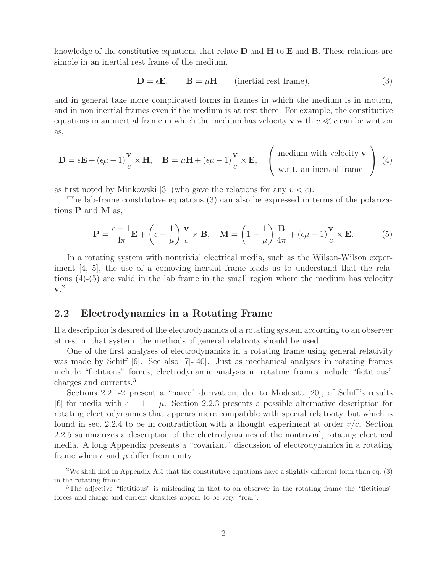knowledge of the constitutive equations that relate **D** and **H** to **E** and **B**. These relations are simple in an inertial rest frame of the medium,

$$
\mathbf{D} = \epsilon \mathbf{E}, \qquad \mathbf{B} = \mu \mathbf{H} \qquad \text{(inertial rest frame)}, \tag{3}
$$

and in general take more complicated forms in frames in which the medium is in motion, and in non inertial frames even if the medium is at rest there. For example, the constitutive equations in an inertial frame in which the medium has velocity **v** with  $v \ll c$  can be written as,

$$
\mathbf{D} = \epsilon \mathbf{E} + (\epsilon \mu - 1) \frac{\mathbf{v}}{c} \times \mathbf{H}, \quad \mathbf{B} = \mu \mathbf{H} + (\epsilon \mu - 1) \frac{\mathbf{v}}{c} \times \mathbf{E}, \quad \begin{pmatrix} \text{medium with velocity } \mathbf{v} \\ \text{w.r.t. an inertial frame} \end{pmatrix} (4)
$$

as first noted by Minkowski [3] (who gave the relations for any  $v < c$ ).

The lab-frame constitutive equations (3) can also be expressed in terms of the polarizations **P** and **M** as,

$$
\mathbf{P} = \frac{\epsilon - 1}{4\pi} \mathbf{E} + \left(\epsilon - \frac{1}{\mu}\right) \frac{\mathbf{v}}{c} \times \mathbf{B}, \quad \mathbf{M} = \left(1 - \frac{1}{\mu}\right) \frac{\mathbf{B}}{4\pi} + (\epsilon \mu - 1) \frac{\mathbf{v}}{c} \times \mathbf{E}.
$$
 (5)

In a rotating system with nontrivial electrical media, such as the Wilson-Wilson experiment [4, 5], the use of a comoving inertial frame leads us to understand that the relations (4)-(5) are valid in the lab frame in the small region where the medium has velocity **v**. 2

### **2.2 Electrodynamics in a Rotating Frame**

If a description is desired of the electrodynamics of a rotating system according to an observer at rest in that system, the methods of general relativity should be used.

One of the first analyses of electrodynamics in a rotating frame using general relativity was made by Schiff [6]. See also [7]-[40]. Just as mechanical analyses in rotating frames include "fictitious" forces, electrodynamic analysis in rotating frames include "fictitious" charges and currents.<sup>3</sup>

Sections 2.2.1-2 present a "naive" derivation, due to Modesitt [20], of Schiff's results [6] for media with  $\epsilon = 1 = \mu$ . Section 2.2.3 presents a possible alternative description for rotating electrodynamics that appears more compatible with special relativity, but which is found in sec. 2.2.4 to be in contradiction with a thought experiment at order  $v/c$ . Section 2.2.5 summarizes a description of the electrodynamics of the nontrivial, rotating electrical media. A long Appendix presents a "covariant" discussion of electrodynamics in a rotating frame when  $\epsilon$  and  $\mu$  differ from unity.

<sup>&</sup>lt;sup>2</sup>We shall find in Appendix A.5 that the constitutive equations have a slightly different form than eq. (3) in the rotating frame.

<sup>&</sup>lt;sup>3</sup>The adjective "fictitious" is misleading in that to an observer in the rotating frame the "fictitious" forces and charge and current densities appear to be very "real".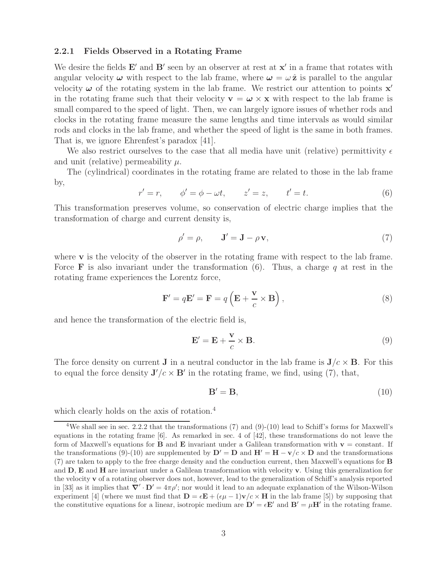#### **2.2.1 Fields Observed in a Rotating Frame**

We desire the fields  $E'$  and  $B'$  seen by an observer at rest at  $x'$  in a frame that rotates with angular velocity  $\omega$  with respect to the lab frame, where  $\omega = \omega \hat{z}$  is parallel to the angular velocity  $\omega$  of the rotating system in the lab frame. We restrict our attention to points  $\mathbf{x}'$ in the rotating frame such that their velocity  $\mathbf{v} = \boldsymbol{\omega} \times \mathbf{x}$  with respect to the lab frame is small compared to the speed of light. Then, we can largely ignore issues of whether rods and clocks in the rotating frame measure the same lengths and time intervals as would similar rods and clocks in the lab frame, and whether the speed of light is the same in both frames. That is, we ignore Ehrenfest's paradox [41].

We also restrict ourselves to the case that all media have unit (relative) permittivity  $\epsilon$ and unit (relative) permeability  $\mu$ .

The (cylindrical) coordinates in the rotating frame are related to those in the lab frame by,

$$
r' = r, \qquad \phi' = \phi - \omega t, \qquad z' = z, \qquad t' = t. \tag{6}
$$

This transformation preserves volume, so conservation of electric charge implies that the transformation of charge and current density is,

$$
\rho' = \rho, \qquad \mathbf{J}' = \mathbf{J} - \rho \mathbf{v}, \tag{7}
$$

where **v** is the velocity of the observer in the rotating frame with respect to the lab frame. Force **F** is also invariant under the transformation  $(6)$ . Thus, a charge q at rest in the rotating frame experiences the Lorentz force,

$$
\mathbf{F}' = q\mathbf{E}' = \mathbf{F} = q\left(\mathbf{E} + \frac{\mathbf{v}}{c} \times \mathbf{B}\right),\tag{8}
$$

and hence the transformation of the electric field is,

$$
\mathbf{E}' = \mathbf{E} + \frac{\mathbf{v}}{c} \times \mathbf{B}.\tag{9}
$$

The force density on current **J** in a neutral conductor in the lab frame is  $J/c \times B$ . For this to equal the force density  $J'/c \times B'$  in the rotating frame, we find, using (7), that,

$$
\mathbf{B}' = \mathbf{B},\tag{10}
$$

which clearly holds on the axis of rotation.<sup>4</sup>

<sup>&</sup>lt;sup>4</sup>We shall see in sec. 2.2.2 that the transformations (7) and (9)-(10) lead to Schiff's forms for Maxwell's equations in the rotating frame [6]. As remarked in sec. 4 of [42], these transformations do not leave the form of Maxwell's equations for **B** and **E** invariant under a Galilean transformation with  $\mathbf{v} = \text{constant}$ . If the transformations (9)-(10) are supplemented by  $\mathbf{D}' = \mathbf{D}$  and  $\mathbf{H}' = \mathbf{H} - \mathbf{v}/c \times \mathbf{D}$  and the transformations (7) are taken to apply to the free charge density and the conduction current, then Maxwell's equations for **B** and **D**, **E** and **H** are invariant under a Galilean transformation with velocity **v**. Using this generalization for the velocity **v** of a rotating observer does not, however, lead to the generalization of Schiff's analysis reported in [33] as it implies that  $\nabla' \cdot \mathbf{D}' = 4\pi \rho'$ ; nor would it lead to an adequate explanation of the Wilson-Wilson experiment [4] (where we must find that  $\mathbf{D} = \epsilon \mathbf{E} + (\epsilon \mu - 1)\mathbf{v}/c \times \mathbf{H}$  in the lab frame [5]) by supposing that the constitutive equations for a linear, isotropic medium are  $D' = \epsilon E'$  and  $B' = \mu H'$  in the rotating frame.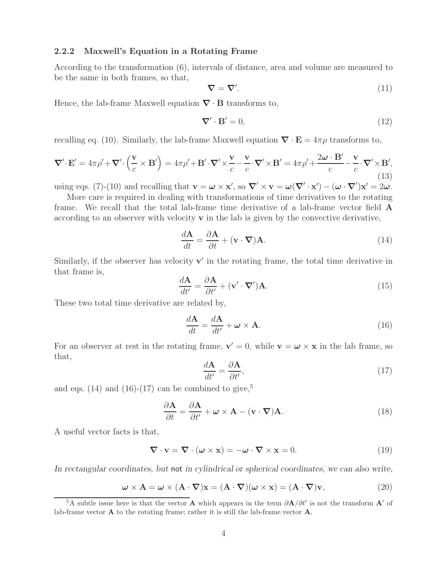#### **2.2.2 Maxwell's Equation in a Rotating Frame**

According to the transformation (6), intervals of distance, area and volume are measured to be the same in both frames, so that,

$$
\nabla = \nabla'.\tag{11}
$$

Hence, the lab-frame Maxwell equation *∇* · **B** transforms to,

$$
\nabla' \cdot \mathbf{B}' = 0,\tag{12}
$$

recalling eq. (10). Similarly, the lab-frame Maxwell equation  $\nabla \cdot \mathbf{E} = 4\pi \rho$  transforms to,

$$
\nabla' \cdot \mathbf{E}' = 4\pi \rho' + \nabla' \cdot \left(\frac{\mathbf{v}}{c} \times \mathbf{B}'\right) = 4\pi \rho' + \mathbf{B}' \cdot \nabla' \times \frac{\mathbf{v}}{c} - \frac{\mathbf{v}}{c} \cdot \nabla' \times \mathbf{B}' = 4\pi \rho' + \frac{2\omega \cdot \mathbf{B}'}{c} - \frac{\mathbf{v}}{c} \cdot \nabla' \times \mathbf{B}',\tag{13}
$$

using eqs. (7)-(10) and recalling that  $\mathbf{v} = \boldsymbol{\omega} \times \mathbf{x}'$ , so  $\nabla' \times \mathbf{v} = \boldsymbol{\omega}(\nabla' \cdot \mathbf{x}') - (\boldsymbol{\omega} \cdot \nabla')\mathbf{x}' = 2\boldsymbol{\omega}$ . More care is required in dealing with transformations of time derivatives to the rotating

frame. We recall that the total lab-frame time derivative of a lab-frame vector field **A** according to an observer with velocity **v** in the lab is given by the convective derivative,

$$
\frac{d\mathbf{A}}{dt} = \frac{\partial \mathbf{A}}{\partial t} + (\mathbf{v} \cdot \nabla)\mathbf{A}.
$$
 (14)

Similarly, if the observer has velocity  $\mathbf{v}'$  in the rotating frame, the total time derivative in that frame is,

$$
\frac{d\mathbf{A}}{dt'} = \frac{\partial \mathbf{A}}{\partial t'} + (\mathbf{v}' \cdot \nabla') \mathbf{A}.
$$
 (15)

These two total time derivative are related by,

$$
\frac{d\mathbf{A}}{dt} = \frac{d\mathbf{A}}{dt'} + \boldsymbol{\omega} \times \mathbf{A}.
$$
 (16)

For an observer at rest in the rotating frame,  $\mathbf{v}' = 0$ , while  $\mathbf{v} = \boldsymbol{\omega} \times \mathbf{x}$  in the lab frame, so that,

$$
\frac{d\mathbf{A}}{dt'} = \frac{\partial \mathbf{A}}{\partial t'},\tag{17}
$$

and eqs. (14) and (16)-(17) can be combined to give,<sup>5</sup>

$$
\frac{\partial \mathbf{A}}{\partial t} = \frac{\partial \mathbf{A}}{\partial t'} + \boldsymbol{\omega} \times \mathbf{A} - (\mathbf{v} \cdot \boldsymbol{\nabla}) \mathbf{A}.
$$
 (18)

A useful vector facts is that,

$$
\nabla \cdot \mathbf{v} = \nabla \cdot (\boldsymbol{\omega} \times \mathbf{x}) = -\boldsymbol{\omega} \cdot \nabla \times \mathbf{x} = 0.
$$
 (19)

*In rectangular coordinates, but* not *in cylindrical or spherical coordinates, we can also write,*

$$
\boldsymbol{\omega} \times \mathbf{A} = \boldsymbol{\omega} \times (\mathbf{A} \cdot \boldsymbol{\nabla})\mathbf{x} = (\mathbf{A} \cdot \boldsymbol{\nabla})(\boldsymbol{\omega} \times \mathbf{x}) = (\mathbf{A} \cdot \boldsymbol{\nabla})\mathbf{v},
$$
(20)

<sup>&</sup>lt;sup>5</sup>A subtle issue here is that the vector **A** which appears in the term  $\partial \mathbf{A}/\partial t'$  is not the transform **A**<sup>'</sup> of lab-frame vector **A** to the rotating frame; rather it is still the lab-frame vector **A**.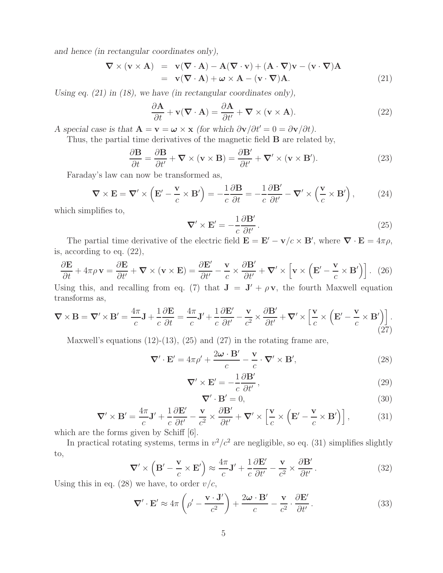*and hence (in rectangular coordinates only),*

$$
\nabla \times (\mathbf{v} \times \mathbf{A}) = \mathbf{v}(\nabla \cdot \mathbf{A}) - \mathbf{A}(\nabla \cdot \mathbf{v}) + (\mathbf{A} \cdot \nabla)\mathbf{v} - (\mathbf{v} \cdot \nabla)\mathbf{A}
$$
  
=  $\mathbf{v}(\nabla \cdot \mathbf{A}) + \boldsymbol{\omega} \times \mathbf{A} - (\mathbf{v} \cdot \nabla)\mathbf{A}.$  (21)

*Using eq. (21) in (18), we have (in rectangular coordinates only),*

$$
\frac{\partial \mathbf{A}}{\partial t} + \mathbf{v}(\nabla \cdot \mathbf{A}) = \frac{\partial \mathbf{A}}{\partial t'} + \nabla \times (\mathbf{v} \times \mathbf{A}).
$$
\n(22)

*A* special case is that  $\mathbf{A} = \mathbf{v} = \boldsymbol{\omega} \times \mathbf{x}$  (for which  $\partial \mathbf{v}/\partial t' = 0 = \partial \mathbf{v}/\partial t$ ).

Thus, the partial time derivatives of the magnetic field **B** are related by,

$$
\frac{\partial \mathbf{B}}{\partial t} = \frac{\partial \mathbf{B}}{\partial t'} + \nabla \times (\mathbf{v} \times \mathbf{B}) = \frac{\partial \mathbf{B'}}{\partial t'} + \nabla' \times (\mathbf{v} \times \mathbf{B'})
$$
 (23)

Faraday's law can now be transformed as,

$$
\nabla \times \mathbf{E} = \nabla' \times \left( \mathbf{E}' - \frac{\mathbf{v}}{c} \times \mathbf{B}' \right) = -\frac{1}{c} \frac{\partial \mathbf{B}}{\partial t} = -\frac{1}{c} \frac{\partial \mathbf{B}'}{\partial t'} - \nabla' \times \left( \frac{\mathbf{v}}{c} \times \mathbf{B}' \right), \tag{24}
$$

which simplifies to,

$$
\nabla' \times \mathbf{E}' = -\frac{1}{c} \frac{\partial \mathbf{B}'}{\partial t'}.
$$
 (25)

The partial time derivative of the electric field  $\mathbf{E} = \mathbf{E}' - \mathbf{v}/c \times \mathbf{B}'$ , where  $\nabla \cdot \mathbf{E} = 4\pi \rho$ , is, according to eq. (22),

$$
\frac{\partial \mathbf{E}}{\partial t} + 4\pi \rho \mathbf{v} = \frac{\partial \mathbf{E}}{\partial t'} + \mathbf{\nabla} \times (\mathbf{v} \times \mathbf{E}) = \frac{\partial \mathbf{E'}}{\partial t'} - \frac{\mathbf{v}}{c} \times \frac{\partial \mathbf{B'}}{\partial t'} + \mathbf{\nabla'} \times \left[ \mathbf{v} \times \left( \mathbf{E'} - \frac{\mathbf{v}}{c} \times \mathbf{B'} \right) \right]. \tag{26}
$$

Using this, and recalling from eq. (7) that  $J = J' + \rho v$ , the fourth Maxwell equation transforms as,

$$
\nabla \times \mathbf{B} = \nabla' \times \mathbf{B}' = \frac{4\pi}{c} \mathbf{J} + \frac{1}{c} \frac{\partial \mathbf{E}}{\partial t} = \frac{4\pi}{c} \mathbf{J}' + \frac{1}{c} \frac{\partial \mathbf{E}'}{\partial t'} - \frac{\mathbf{v}}{c^2} \times \frac{\partial \mathbf{B}'}{\partial t'} + \nabla' \times \left[ \frac{\mathbf{v}}{c} \times \left( \mathbf{E}' - \frac{\mathbf{v}}{c} \times \mathbf{B}' \right) \right].
$$
\n(27)

Maxwell's equations  $(12)-(13)$ ,  $(25)$  and  $(27)$  in the rotating frame are,

$$
\nabla' \cdot \mathbf{E}' = 4\pi \rho' + \frac{2\omega \cdot \mathbf{B}'}{c} - \frac{\mathbf{v}}{c} \cdot \nabla' \times \mathbf{B}',\tag{28}
$$

$$
\nabla' \times \mathbf{E}' = -\frac{1}{c} \frac{\partial \mathbf{B}'}{\partial t'},\tag{29}
$$

$$
\nabla' \cdot \mathbf{B}' = 0,\tag{30}
$$

$$
\nabla' \times \mathbf{B}' = \frac{4\pi}{c} \mathbf{J}' + \frac{1}{c} \frac{\partial \mathbf{E}'}{\partial t'} - \frac{\mathbf{v}}{c^2} \times \frac{\partial \mathbf{B}'}{\partial t'} + \nabla' \times \left[ \frac{\mathbf{v}}{c} \times \left( \mathbf{E}' - \frac{\mathbf{v}}{c} \times \mathbf{B}' \right) \right],\tag{31}
$$

which are the forms given by Schiff  $[6]$ .

In practical rotating systems, terms in  $v^2/c^2$  are negligible, so eq. (31) simplifies slightly to,

$$
\nabla' \times \left( \mathbf{B}' - \frac{\mathbf{v}}{c} \times \mathbf{E}' \right) \approx \frac{4\pi}{c} \mathbf{J}' + \frac{1}{c} \frac{\partial \mathbf{E}'}{\partial t'} - \frac{\mathbf{v}}{c^2} \times \frac{\partial \mathbf{B}'}{\partial t'}.
$$
 (32)

Using this in eq. (28) we have, to order  $v/c$ ,

$$
\nabla' \cdot \mathbf{E}' \approx 4\pi \left( \rho' - \frac{\mathbf{v} \cdot \mathbf{J}'}{c^2} \right) + \frac{2\omega \cdot \mathbf{B}'}{c} - \frac{\mathbf{v}}{c^2} \cdot \frac{\partial \mathbf{E}'}{\partial t'}.
$$
 (33)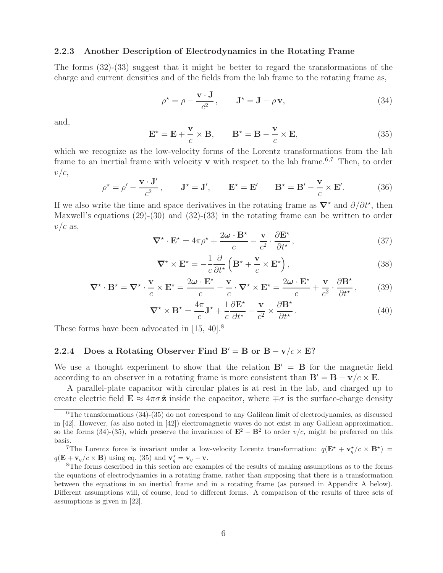#### **2.2.3 Another Description of Electrodynamics in the Rotating Frame**

The forms (32)-(33) suggest that it might be better to regard the transformations of the charge and current densities and of the fields from the lab frame to the rotating frame as,

$$
\rho^* = \rho - \frac{\mathbf{v} \cdot \mathbf{J}}{c^2}, \qquad \mathbf{J}^* = \mathbf{J} - \rho \mathbf{v}, \tag{34}
$$

and,

$$
\mathbf{E}^{\star} = \mathbf{E} + \frac{\mathbf{v}}{c} \times \mathbf{B}, \qquad \mathbf{B}^{\star} = \mathbf{B} - \frac{\mathbf{v}}{c} \times \mathbf{E}, \tag{35}
$$

which we recognize as the low-velocity forms of the Lorentz transformations from the lab frame to an inertial frame with velocity **v** with respect to the lab frame.<sup>6,7</sup> Then, to order  $v/c$ ,

$$
\rho^* = \rho' - \frac{\mathbf{v} \cdot \mathbf{J}'}{c^2}, \qquad \mathbf{J}^* = \mathbf{J}', \qquad \mathbf{E}^* = \mathbf{E}' \qquad \mathbf{B}^* = \mathbf{B}' - \frac{\mathbf{v}}{c} \times \mathbf{E}'. \tag{36}
$$

If we also write the time and space derivatives in the rotating frame as  $\nabla^*$  and  $\partial/\partial t^*$ , then Maxwell's equations (29)-(30) and (32)-(33) in the rotating frame can be written to order  $v/c$  as,

$$
\nabla^{\star} \cdot \mathbf{E}^{\star} = 4\pi \rho^{\star} + \frac{2\omega \cdot \mathbf{B}^{\star}}{c} - \frac{\mathbf{v}}{c^2} \cdot \frac{\partial \mathbf{E}^{\star}}{\partial t^{\star}},
$$
(37)

$$
\nabla^{\star} \times \mathbf{E}^{\star} = -\frac{1}{c} \frac{\partial}{\partial t^{\star}} \left( \mathbf{B}^{\star} + \frac{\mathbf{v}}{c} \times \mathbf{E}^{\star} \right), \tag{38}
$$

$$
\nabla^{\star} \cdot \mathbf{B}^{\star} = \nabla^{\star} \cdot \frac{\mathbf{v}}{c} \times \mathbf{E}^{\star} = \frac{2\boldsymbol{\omega} \cdot \mathbf{E}^{\star}}{c} - \frac{\mathbf{v}}{c} \cdot \nabla^{\star} \times \mathbf{E}^{\star} = \frac{2\boldsymbol{\omega} \cdot \mathbf{E}^{\star}}{c} + \frac{\mathbf{v}}{c^2} \cdot \frac{\partial \mathbf{B}^{\star}}{\partial t^{\star}},\tag{39}
$$

$$
\nabla^{\star} \times \mathbf{B}^{\star} = \frac{4\pi}{c} \mathbf{J}^{\star} + \frac{1}{c} \frac{\partial \mathbf{E}^{\star}}{\partial t^{\star}} - \frac{\mathbf{v}}{c^2} \times \frac{\partial \mathbf{B}^{\star}}{\partial t^{\star}}.
$$
 (40)

These forms have been advocated in [15, 40].<sup>8</sup>

## **2.2.4** Does a Rotating Observer Find  $B' = B$  or  $B - v/c \times E$ ?

We use a thought experiment to show that the relation  $B' = B$  for the magnetic field according to an observer in a rotating frame is more consistent than  $\mathbf{B}' = \mathbf{B} - \mathbf{v}/c \times \mathbf{E}$ .

A parallel-plate capacitor with circular plates is at rest in the lab, and charged up to create electric field  $\mathbf{E} \approx 4\pi\sigma \hat{\mathbf{z}}$  inside the capacitor, where  $\mp \sigma$  is the surface-charge density

 ${}^{6}$ The transformations (34)-(35) do not correspond to any Galilean limit of electrodynamics, as discussed in [42]. However, (as also noted in [42]) electromagnetic waves do not exist in any Galilean approximation, so the forms (34)-(35), which preserve the invariance of  $\mathbf{E}^2 - \mathbf{B}^2$  to order v/c, might be preferred on this basis.

<sup>&</sup>lt;sup>7</sup>The Lorentz force is invariant under a low-velocity Lorentz transformation:  $q(\mathbf{E}^* + \mathbf{v}_q^*/c \times \mathbf{B}^*)$  $q(\mathbf{E} + \mathbf{v}_q/c \times \mathbf{B})$  using eq. (35) and  $\mathbf{v}_q^*$ 

<sup>&</sup>lt;sup>8</sup>The forms described in this section are examples of the results of making assumptions as to the forms the equations of electrodynamics in a rotating frame, rather than supposing that there is a transformation between the equations in an inertial frame and in a rotating frame (as pursued in Appendix A below). Different assumptions will, of course, lead to different forms. A comparison of the results of three sets of assumptions is given in [22].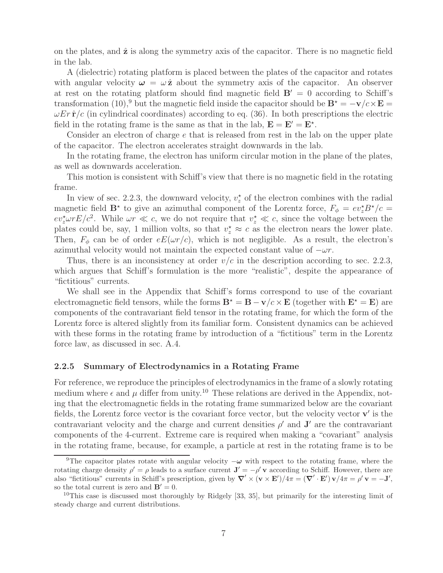on the plates, and **z**ˆ is along the symmetry axis of the capacitor. There is no magnetic field in the lab.

A (dielectric) rotating platform is placed between the plates of the capacitor and rotates with angular velocity  $\omega = \omega \hat{z}$  about the symmetry axis of the capacitor. An observer at rest on the rotating platform should find magnetic field  $B' = 0$  according to Schiff's transformation (10),<sup>9</sup> but the magnetic field inside the capacitor should be  $\mathbf{B}^* = -\mathbf{v}/c \times \mathbf{E} =$  $\omega E r \hat{\mathbf{r}}/c$  (in cylindrical coordinates) according to eq. (36). In both prescriptions the electric field in the rotating frame is the same as that in the lab,  $\mathbf{E} = \mathbf{E}' = \mathbf{E}^*$ .

Consider an electron of charge e that is released from rest in the lab on the upper plate of the capacitor. The electron accelerates straight downwards in the lab.

In the rotating frame, the electron has uniform circular motion in the plane of the plates, as well as downwards acceleration.

This motion is consistent with Schiff's view that there is no magnetic field in the rotating frame.

In view of sec. 2.2.3, the downward velocity,  $v_z^*$  of the electron combines with the radial magnetic field  $\mathbf{B}^*$  to give an azimuthal component of the Lorentz force,  $F_{\phi} = ev_{z}^* B^* / c =$  $ev_z^{\star} \omega r E/c^2$ . While  $\omega r \ll c$ , we do not require that  $v_z^{\star} \ll c$ , since the voltage between the plates could be, say, 1 million volts, so that  $v_z^* \approx c$  as the electron nears the lower plate. Then,  $F_{\phi}$  can be of order  $eE(\omega r/c)$ , which is not negligible. As a result, the electron's azimuthal velocity would not maintain the expected constant value of  $-\omega r$ .

Thus, there is an inconsistency at order  $v/c$  in the description according to sec. 2.2.3, which argues that Schiff's formulation is the more "realistic", despite the appearance of "fictitious" currents.

We shall see in the Appendix that Schiff's forms correspond to use of the covariant electromagnetic field tensors, while the forms  $\mathbf{B}^* = \mathbf{B} - \mathbf{v}/c \times \mathbf{E}$  (together with  $\mathbf{E}^* = \mathbf{E}$ ) are components of the contravariant field tensor in the rotating frame, for which the form of the Lorentz force is altered slightly from its familiar form. Consistent dynamics can be achieved with these forms in the rotating frame by introduction of a "fictitious" term in the Lorentz force law, as discussed in sec. A.4.

#### **2.2.5 Summary of Electrodynamics in a Rotating Frame**

For reference, we reproduce the principles of electrodynamics in the frame of a slowly rotating medium where  $\epsilon$  and  $\mu$  differ from unity.<sup>10</sup> These relations are derived in the Appendix, noting that the electromagnetic fields in the rotating frame summarized below are the covariant fields, the Lorentz force vector is the covariant force vector, but the velocity vector  $\mathbf{v}'$  is the contravariant velocity and the charge and current densities  $\rho'$  and  $\mathbf{J}'$  are the contravariant components of the 4-current. Extreme care is required when making a "covariant" analysis in the rotating frame, because, for example, a particle at rest in the rotating frame is to be

<sup>&</sup>lt;sup>9</sup>The capacitor plates rotate with angular velocity  $-\omega$  with respect to the rotating frame, where the rotating charge density  $\rho' = \rho$  leads to a surface current  $\mathbf{J}' = -\rho' \mathbf{v}$  according to Schiff. However, there are also "fictitious" currents in Schiff's prescription, given by  $\nabla' \times (\mathbf{v} \times \mathbf{E}')/4\pi = (\nabla' \cdot \mathbf{E}')\mathbf{v}/4\pi = \rho' \mathbf{v} = -\mathbf{J}'$ , so the total current is zero and  $\mathbf{B}' = 0$ .

<sup>&</sup>lt;sup>10</sup>This case is discussed most thoroughly by Ridgely  $[33, 35]$ , but primarily for the interesting limit of steady charge and current distributions.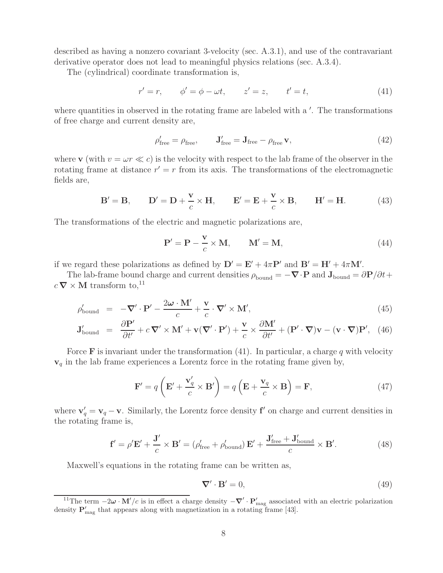described as having a nonzero covariant 3-velocity (sec. A.3.1), and use of the contravariant derivative operator does not lead to meaningful physics relations (sec. A.3.4).

The (cylindrical) coordinate transformation is,

$$
r' = r, \qquad \phi' = \phi - \omega t, \qquad z' = z, \qquad t' = t,
$$
\n
$$
(41)
$$

where quantities in observed in the rotating frame are labeled with a  $\prime$ . The transformations of free charge and current density are,

$$
\rho'_{\text{free}} = \rho_{\text{free}}, \qquad \mathbf{J}'_{\text{free}} = \mathbf{J}_{\text{free}} - \rho_{\text{free}} \mathbf{v}, \tag{42}
$$

where **v** (with  $v = \omega r \ll c$ ) is the velocity with respect to the lab frame of the observer in the rotating frame at distance  $r' = r$  from its axis. The transformations of the electromagnetic fields are,

$$
\mathbf{B}' = \mathbf{B}, \qquad \mathbf{D}' = \mathbf{D} + \frac{\mathbf{v}}{c} \times \mathbf{H}, \qquad \mathbf{E}' = \mathbf{E} + \frac{\mathbf{v}}{c} \times \mathbf{B}, \qquad \mathbf{H}' = \mathbf{H}.
$$
 (43)

The transformations of the electric and magnetic polarizations are,

$$
\mathbf{P}' = \mathbf{P} - \frac{\mathbf{v}}{c} \times \mathbf{M}, \qquad \mathbf{M}' = \mathbf{M}, \tag{44}
$$

if we regard these polarizations as defined by  $D' = E' + 4\pi P'$  and  $B' = H' + 4\pi M'$ .

The lab-frame bound charge and current densities  $\rho_{\text{bound}} = -\nabla \cdot \mathbf{P}$  and  $\mathbf{J}_{\text{bound}} = \partial \mathbf{P}/\partial t + \nabla \cdot \mathbf{P}$  $c \nabla \times \mathbf{M}$  transform to,<sup>11</sup>

$$
\rho'_{\text{bound}} = -\nabla' \cdot \mathbf{P}' - \frac{2\omega \cdot \mathbf{M}'}{c} + \frac{\mathbf{v}}{c} \cdot \nabla' \times \mathbf{M}',\tag{45}
$$

$$
\mathbf{J}_{\text{bound}}' = \frac{\partial \mathbf{P}'}{\partial t'} + c \, \nabla' \times \mathbf{M}' + \mathbf{v} (\nabla' \cdot \mathbf{P}') + \frac{\mathbf{v}}{c} \times \frac{\partial \mathbf{M}'}{\partial t'} + (\mathbf{P}' \cdot \nabla) \mathbf{v} - (\mathbf{v} \cdot \nabla) \mathbf{P}', \tag{46}
$$

Force **F** is invariant under the transformation  $(41)$ . In particular, a charge q with velocity  $\mathbf{v}_q$  in the lab frame experiences a Lorentz force in the rotating frame given by,

$$
\mathbf{F}' = q\left(\mathbf{E}' + \frac{\mathbf{v}'_q}{c} \times \mathbf{B}'\right) = q\left(\mathbf{E} + \frac{\mathbf{v}_q}{c} \times \mathbf{B}\right) = \mathbf{F},\tag{47}
$$

where  $\mathbf{v}'_q = \mathbf{v}_q - \mathbf{v}$ . Similarly, the Lorentz force density **f**<sup> $\prime$ </sup> on charge and current densities in the rotating frame is,

$$
\mathbf{f}' = \rho' \mathbf{E}' + \frac{\mathbf{J}'}{c} \times \mathbf{B}' = (\rho'_{\text{free}} + \rho'_{\text{bound}}) \mathbf{E}' + \frac{\mathbf{J}'_{\text{free}} + \mathbf{J}'_{\text{bound}}}{c} \times \mathbf{B}'. \tag{48}
$$

Maxwell's equations in the rotating frame can be written as,

$$
\nabla' \cdot \mathbf{B}' = 0,\tag{49}
$$

<sup>&</sup>lt;sup>11</sup>The term  $-2\omega \cdot M'/c$  is in effect a charge density  $-\nabla' \cdot P'_{\text{mag}}$  associated with an electric polarization density  $\mathbf{P}_{\text{mag}}'$  that appears along with magnetization in a rotating frame [43].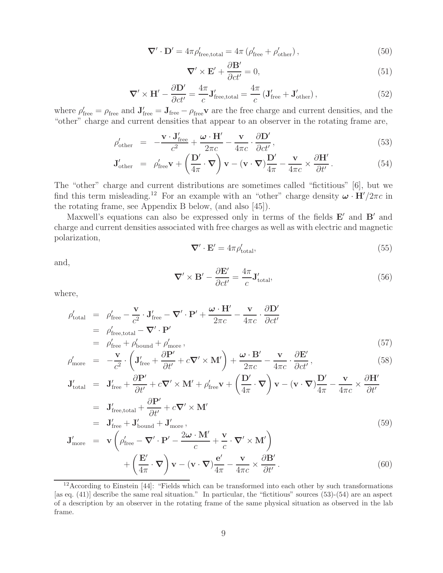$$
\nabla' \cdot \mathbf{D}' = 4\pi \rho'_{\text{free,total}} = 4\pi \left( \rho'_{\text{free}} + \rho'_{\text{other}} \right),\tag{50}
$$

$$
\nabla' \times \mathbf{E}' + \frac{\partial \mathbf{B}'}{\partial ct'} = 0,\tag{51}
$$

$$
\nabla' \times \mathbf{H}' - \frac{\partial \mathbf{D}'}{\partial ct'} = \frac{4\pi}{c} \mathbf{J}'_{\text{free,total}} = \frac{4\pi}{c} \left( \mathbf{J}'_{\text{free}} + \mathbf{J}'_{\text{other}} \right),\tag{52}
$$

where  $\rho'_{\text{free}} = \rho_{\text{free}}$  and  $J'_{\text{free}} = J_{\text{free}} - \rho_{\text{free}}$  are the free charge and current densities, and the "other" charge and current densities that appear to an observer in the rotating frame are,

$$
\rho'_{\text{other}} = -\frac{\mathbf{v} \cdot \mathbf{J}'_{\text{free}}}{c^2} + \frac{\boldsymbol{\omega} \cdot \mathbf{H}'}{2\pi c} - \frac{\mathbf{v}}{4\pi c} \cdot \frac{\partial \mathbf{D}'}{\partial ct'},
$$
\n(53)

$$
\mathbf{J}_{\text{other}}' = \rho_{\text{free}}' \mathbf{v} + \left(\frac{\mathbf{D}'}{4\pi} \cdot \mathbf{\nabla}\right) \mathbf{v} - (\mathbf{v} \cdot \mathbf{\nabla}) \frac{\mathbf{D}'}{4\pi} - \frac{\mathbf{v}}{4\pi c} \times \frac{\partial \mathbf{H}'}{\partial t'}.
$$
(54)

The "other" charge and current distributions are sometimes called "fictitious" [6], but we find this term misleading.<sup>12</sup> For an example with an "other" charge density  $\omega \cdot \mathbf{H}'/2\pi c$  in the rotating frame, see Appendix B below, (and also [45]).

Maxwell's equations can also be expressed only in terms of the fields **E**' and **B**' and charge and current densities associated with free charges as well as with electric and magnetic polarization,

$$
\nabla' \cdot \mathbf{E}' = 4\pi \rho'_{\text{total}},\tag{55}
$$

and,

$$
\nabla' \times \mathbf{B}' - \frac{\partial \mathbf{E}'}{\partial ct'} = \frac{4\pi}{c} \mathbf{J}'_{\text{total}},\tag{56}
$$

where,

$$
\rho'_{\text{total}} = \rho'_{\text{free}} - \frac{\mathbf{v}}{c^2} \cdot \mathbf{J}'_{\text{free}} - \nabla' \cdot \mathbf{P}' + \frac{\boldsymbol{\omega} \cdot \mathbf{H}'}{2\pi c} - \frac{\mathbf{v}}{4\pi c} \cdot \frac{\partial \mathbf{D}'}{\partial ct'}
$$
\n
$$
= \rho'_{\text{free,total}} - \nabla' \cdot \mathbf{P}'
$$
\n
$$
= \rho'_{\text{free}} + \rho'_{\text{bound}} + \rho'_{\text{more}},
$$
\n(57)

$$
\rho'_{\text{more}} = -\frac{\mathbf{v}}{c^2} \cdot \left( \mathbf{J}'_{\text{free}} + \frac{\partial \mathbf{P}'}{\partial t'} + c \nabla' \times \mathbf{M}' \right) + \frac{\boldsymbol{\omega} \cdot \mathbf{B}'}{2\pi c} - \frac{\mathbf{v}}{4\pi c} \cdot \frac{\partial \mathbf{E}'}{\partial ct'},
$$
\n(58)

$$
\mathbf{J}_{\text{total}}' = \mathbf{J}_{\text{free}}' + \frac{\partial \mathbf{P}'}{\partial t'} + c \nabla' \times \mathbf{M}' + \rho_{\text{free}}' \mathbf{v} + \left(\frac{\mathbf{D}'}{4\pi} \cdot \nabla\right) \mathbf{v} - (\mathbf{v} \cdot \nabla)\frac{\mathbf{D}'}{4\pi} - \frac{\mathbf{v}}{4\pi c} \times \frac{\partial \mathbf{H}'}{\partial t'}
$$
  
=  $\mathbf{J}_{\text{free,total}}' + \frac{\partial \mathbf{P}'}{\partial t'} + c \nabla' \times \mathbf{M}'$ 

$$
J'_{\text{more}} = J'_{\text{free}} + J'_{\text{bound}} + J'_{\text{more}},
$$
  
\n
$$
J'_{\text{more}} = \mathbf{v} \left( \rho'_{\text{free}} - \nabla' \cdot \mathbf{P}' - \frac{2\omega \cdot \mathbf{M}'}{c} + \frac{\mathbf{v}}{c} \cdot \nabla' \times \mathbf{M}' \right)
$$
  
\n
$$
+ \left( \frac{\mathbf{E}'}{4\pi} \cdot \nabla \right) \mathbf{v} - (\mathbf{v} \cdot \nabla) \frac{\mathbf{e}'}{4\pi} - \frac{\mathbf{v}}{4\pi c} \times \frac{\partial \mathbf{B}'}{\partial t'}.
$$
\n(60)

<sup>12</sup>According to Einstein [44]: "Fields which can be transformed into each other by such transformations [as eq. (41)] describe the same real situation." In particular, the "fictitious" sources (53)-(54) are an aspect of a description by an observer in the rotating frame of the same physical situation as observed in the lab frame.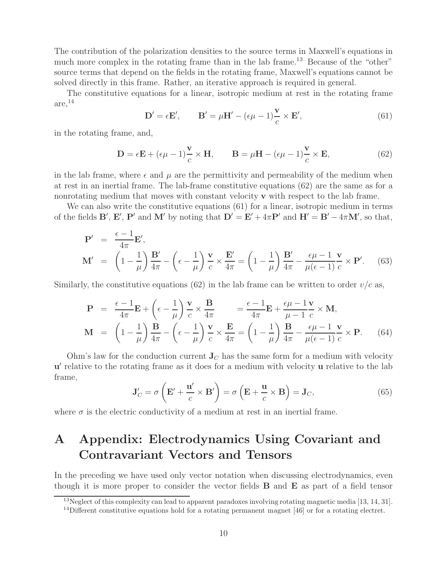The contribution of the polarization densities to the source terms in Maxwell's equations in much more complex in the rotating frame than in the lab frame.<sup>13</sup> Because of the "other" source terms that depend on the fields in the rotating frame, Maxwell's equations cannot be solved directly in this frame. Rather, an iterative approach is required in general.

The constitutive equations for a linear, isotropic medium at rest in the rotating frame  $are,$ <sup>14</sup>

$$
\mathbf{D}' = \epsilon \mathbf{E}', \qquad \mathbf{B}' = \mu \mathbf{H}' - (\epsilon \mu - 1) \frac{\mathbf{v}}{c} \times \mathbf{E}', \tag{61}
$$

in the rotating frame, and,

$$
\mathbf{D} = \epsilon \mathbf{E} + (\epsilon \mu - 1) \frac{\mathbf{v}}{c} \times \mathbf{H}, \qquad \mathbf{B} = \mu \mathbf{H} - (\epsilon \mu - 1) \frac{\mathbf{v}}{c} \times \mathbf{E}, \tag{62}
$$

in the lab frame, where  $\epsilon$  and  $\mu$  are the permittivity and permeability of the medium when at rest in an inertial frame. The lab-frame constitutive equations (62) are the same as for a nonrotating medium that moves with constant velocity **v** with respect to the lab frame.

We can also write the constitutive equations (61) for a linear, isotropic medium in terms of the fields  $\mathbf{B}'$ ,  $\mathbf{E}'$ ,  $\mathbf{P}'$  and  $\mathbf{M}'$  by noting that  $\mathbf{D}' = \mathbf{E}' + 4\pi \mathbf{P}'$  and  $\mathbf{H}' = \mathbf{B}' - 4\pi \mathbf{M}'$ , so that,

$$
\mathbf{P}' = \frac{\epsilon - 1}{4\pi} \mathbf{E}',
$$
\n
$$
\mathbf{M}' = \left(1 - \frac{1}{\mu}\right) \frac{\mathbf{B}'}{4\pi} - \left(\epsilon - \frac{1}{\mu}\right) \frac{\mathbf{v}}{c} \times \frac{\mathbf{E}'}{4\pi} = \left(1 - \frac{1}{\mu}\right) \frac{\mathbf{B}'}{4\pi} - \frac{\epsilon \mu - 1}{\mu(\epsilon - 1)} \frac{\mathbf{v}}{c} \times \mathbf{P}'. \quad (63)
$$

Similarly, the constitutive equations (62) in the lab frame can be written to order  $v/c$  as,

$$
\mathbf{P} = \frac{\epsilon - 1}{4\pi} \mathbf{E} + \left(\epsilon - \frac{1}{\mu}\right) \frac{\mathbf{v}}{c} \times \frac{\mathbf{B}}{4\pi} = \frac{\epsilon - 1}{4\pi} \mathbf{E} + \frac{\epsilon \mu - 1}{\mu - 1} \frac{\mathbf{v}}{c} \times \mathbf{M},
$$
\n
$$
\mathbf{M} = \left(1 - \frac{1}{\mu}\right) \frac{\mathbf{B}}{4\pi} - \left(\epsilon - \frac{1}{\mu}\right) \frac{\mathbf{v}}{c} \times \frac{\mathbf{E}}{4\pi} = \left(1 - \frac{1}{\mu}\right) \frac{\mathbf{B}}{4\pi} - \frac{\epsilon \mu - 1}{\mu(\epsilon - 1)} \frac{\mathbf{v}}{c} \times \mathbf{P}.
$$
\n(64)

Ohm's law for the conduction current  $J_C$  has the same form for a medium with velocity **u**' relative to the rotating frame as it does for a medium with velocity **u** relative to the lab frame,

$$
\mathbf{J}'_C = \sigma \left( \mathbf{E}' + \frac{\mathbf{u}'}{c} \times \mathbf{B}' \right) = \sigma \left( \mathbf{E} + \frac{\mathbf{u}}{c} \times \mathbf{B} \right) = \mathbf{J}_C,\tag{65}
$$

where  $\sigma$  is the electric conductivity of a medium at rest in an inertial frame.

# **A Appendix: Electrodynamics Using Covariant and Contravariant Vectors and Tensors**

In the preceding we have used only vector notation when discussing electrodynamics, even though it is more proper to consider the vector fields **B** and **E** as part of a field tensor

 $13$ Neglect of this complexity can lead to apparent paradoxes involving rotating magnetic media [13, 14, 31].

 $14$ Different constitutive equations hold for a rotating permanent magnet [46] or for a rotating electret.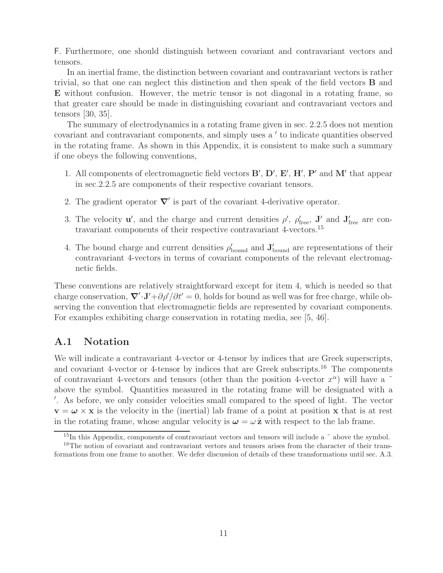F. Furthermore, one should distinguish between covariant and contravariant vectors and tensors.

In an inertial frame, the distinction between covariant and contravariant vectors is rather trivial, so that one can neglect this distinction and then speak of the field vectors **B** and **E** without confusion. However, the metric tensor is not diagonal in a rotating frame, so that greater care should be made in distinguishing covariant and contravariant vectors and tensors [30, 35].

The summary of electrodynamics in a rotating frame given in sec. 2.2.5 does not mention covariant and contravariant components, and simply uses a ' to indicate quantities observed in the rotating frame. As shown in this Appendix, it is consistent to make such a summary if one obeys the following conventions,

- 1. All components of electromagnetic field vectors  $\mathbf{B}', \mathbf{D}', \mathbf{E}', \mathbf{H}', \mathbf{P}'$  and  $\mathbf{M}'$  that appear in sec.2.2.5 are components of their respective covariant tensors.
- 2. The gradient operator  $\nabla'$  is part of the covariant 4-derivative operator.
- 3. The velocity **u**', and the charge and current densities  $\rho'$ ,  $\rho'_{\text{free}}$ , **J**' and **J**<sub>free</sub> are contravariant components of their respective contravariant 4-vectors.<sup>15</sup>
- 4. The bound charge and current densities  $\rho'_{\text{bound}}$  and  $\mathbf{J}'_{\text{bound}}$  are representations of their contravariant 4-vectors in terms of covariant components of the relevant electromagnetic fields.

These conventions are relatively straightforward except for item 4, which is needed so that charge conservation,  $\nabla' \cdot \mathbf{J'} + \frac{\partial \rho'}{\partial t'} = 0$ , holds for bound as well was for free charge, while observing the convention that electromagnetic fields are represented by covariant components. For examples exhibiting charge conservation in rotating media, see [5, 46].

## **A.1 Notation**

We will indicate a contravariant 4-vector or 4-tensor by indices that are Greek superscripts, and covariant 4-vector or 4-tensor by indices that are Greek subscripts.<sup>16</sup> The components of contravariant 4-vectors and tensors (other than the position 4-vector  $x^{\alpha}$ ) will have a  $\tilde{ }$ above the symbol. Quantities measured in the rotating frame will be designated with a - . As before, we only consider velocities small compared to the speed of light. The vector  $\mathbf{v} = \boldsymbol{\omega} \times \mathbf{x}$  is the velocity in the (inertial) lab frame of a point at position **x** that is at rest in the rotating frame, whose angular velocity is  $\omega = \omega \hat{z}$  with respect to the lab frame.

<sup>&</sup>lt;sup>15</sup>In this Appendix, components of contravariant vectors and tensors will include a  $\tilde{ }$  above the symbol.

<sup>&</sup>lt;sup>16</sup>The notion of covariant and contravariant vectors and tensors arises from the character of their transformations from one frame to another. We defer discussion of details of these transformations until sec. A.3.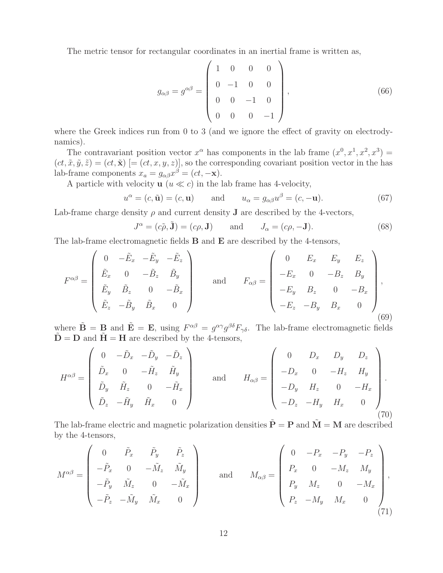The metric tensor for rectangular coordinates in an inertial frame is written as,

$$
g_{\alpha\beta} = g^{\alpha\beta} = \begin{pmatrix} 1 & 0 & 0 & 0 \\ 0 & -1 & 0 & 0 \\ 0 & 0 & -1 & 0 \\ 0 & 0 & 0 & -1 \end{pmatrix}, \tag{66}
$$

where the Greek indices run from 0 to 3 (and we ignore the effect of gravity on electrodynamics).

The contravariant position vector  $x^{\alpha}$  has components in the lab frame  $(x^{0}, x^{1}, x^{2}, x^{3}) =$  $(ct, \tilde{x}, \tilde{y}, \tilde{z}) = (ct, \tilde{x})$  [=  $(ct, x, y, z)$ ], so the corresponding covariant position vector in the has lab-frame components  $x_a = g_{\alpha\beta}x^{\beta} = (ct, -\mathbf{x}).$ 

A particle with velocity  $\mathbf{u}$  ( $u \ll c$ ) in the lab frame has 4-velocity,

$$
u^{\alpha} = (c, \tilde{\mathbf{u}}) = (c, \mathbf{u}) \quad \text{and} \quad u_{\alpha} = g_{\alpha\beta}u^{\beta} = (c, -\mathbf{u}). \tag{67}
$$

Lab-frame charge density  $\rho$  and current density **J** are described by the 4-vectors,

$$
J^{\alpha} = (c\tilde{\rho}, \tilde{\mathbf{J}}) = (c\rho, \mathbf{J}) \quad \text{and} \quad J_{\alpha} = (c\rho, -\mathbf{J}). \tag{68}
$$

The lab-frame electromagnetic fields **B** and **E** are described by the 4-tensors,

$$
F^{\alpha\beta} = \begin{pmatrix} 0 & -\tilde{E}_x & -\tilde{E}_y & -\tilde{E}_z \\ \tilde{E}_x & 0 & -\tilde{B}_z & \tilde{B}_y \\ \tilde{E}_y & \tilde{B}_z & 0 & -\tilde{B}_x \\ \tilde{E}_z & -\tilde{B}_y & \tilde{B}_x & 0 \end{pmatrix} \quad \text{and} \quad F_{\alpha\beta} = \begin{pmatrix} 0 & E_x & E_y & E_z \\ -E_x & 0 & -B_z & B_y \\ -E_y & B_z & 0 & -B_x \\ -E_z & -B_y & B_x & 0 \end{pmatrix},
$$
\n(69)

where  $\tilde{\mathbf{B}} = \mathbf{B}$  and  $\tilde{\mathbf{E}} = \mathbf{E}$ , using  $F^{\alpha\beta} = g^{\alpha\gamma}g^{\beta\delta}F_{\gamma\delta}$ . The lab-frame electromagnetic fields  $\tilde{\mathbf{D}} = \mathbf{D}$  and  $\tilde{\mathbf{H}} = \mathbf{H}$  are described by the 4-tensors,

$$
H^{\alpha\beta} = \begin{pmatrix} 0 & -\tilde{D}_x & -\tilde{D}_y & -\tilde{D}_z \\ \tilde{D}_x & 0 & -\tilde{H}_z & \tilde{H}_y \\ \tilde{D}_y & \tilde{H}_z & 0 & -\tilde{H}_x \\ \tilde{D}_z & -\tilde{H}_y & \tilde{H}_x & 0 \end{pmatrix} \quad \text{and} \quad H_{\alpha\beta} = \begin{pmatrix} 0 & D_x & D_y & D_z \\ -D_x & 0 & -H_z & H_y \\ -D_y & H_z & 0 & -H_x \\ -D_z & -H_y & H_x & 0 \end{pmatrix} . \tag{70}
$$

The lab-frame electric and magnetic polarization densities  $\tilde{\mathbf{P}} = \mathbf{P}$  and  $\tilde{\mathbf{M}} = \mathbf{M}$  are described by the 4-tensors,

$$
M^{\alpha\beta} = \begin{pmatrix} 0 & \tilde{P}_x & \tilde{P}_y & \tilde{P}_z \\ -\tilde{P}_x & 0 & -\tilde{M}_z & \tilde{M}_y \\ -\tilde{P}_y & \tilde{M}_z & 0 & -\tilde{M}_x \\ -\tilde{P}_z & -\tilde{M}_y & \tilde{M}_x & 0 \end{pmatrix} \quad \text{and} \quad M_{\alpha\beta} = \begin{pmatrix} 0 & -P_x & -P_y & -P_z \\ P_x & 0 & -M_z & M_y \\ P_y & M_z & 0 & -M_x \\ P_z & -M_y & M_x & 0 \end{pmatrix},
$$
\n(71)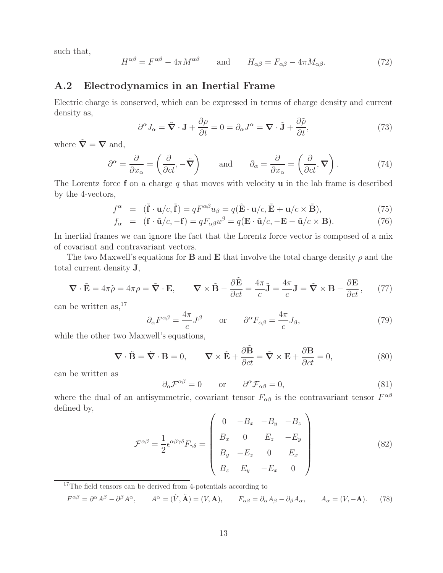such that,

$$
H^{\alpha\beta} = F^{\alpha\beta} - 4\pi M^{\alpha\beta} \qquad \text{and} \qquad H_{\alpha\beta} = F_{\alpha\beta} - 4\pi M_{\alpha\beta}.
$$
 (72)

### **A.2 Electrodynamics in an Inertial Frame**

Electric charge is conserved, which can be expressed in terms of charge density and current density as,

$$
\partial^{\alpha} J_{\alpha} = \tilde{\nabla} \cdot \mathbf{J} + \frac{\partial \rho}{\partial t} = 0 = \partial_{\alpha} J^{\alpha} = \nabla \cdot \tilde{\mathbf{J}} + \frac{\partial \tilde{\rho}}{\partial t},\tag{73}
$$

where  $\tilde{\nabla} = \nabla$  and,

$$
\partial^{\alpha} = \frac{\partial}{\partial x_{\alpha}} = \left(\frac{\partial}{\partial ct}, -\tilde{\nabla}\right) \quad \text{and} \quad \partial_{\alpha} = \frac{\partial}{\partial x_{\alpha}} = \left(\frac{\partial}{\partial ct}, \nabla\right). \tag{74}
$$

The Lorentz force **f** on a charge q that moves with velocity **u** in the lab frame is described by the 4-vectors,

$$
f^{\alpha} = (\tilde{\mathbf{f}} \cdot \mathbf{u}/c, \tilde{\mathbf{f}}) = qF^{\alpha\beta}u_{\beta} = q(\tilde{\mathbf{E}} \cdot \mathbf{u}/c, \tilde{\mathbf{E}} + \mathbf{u}/c \times \tilde{\mathbf{B}}),
$$
\n(75)

$$
f_{\alpha} = (\mathbf{f} \cdot \tilde{\mathbf{u}}/c, -\mathbf{f}) = qF_{\alpha\beta}u^{\beta} = q(\mathbf{E} \cdot \tilde{\mathbf{u}}/c, -\mathbf{E} - \tilde{\mathbf{u}}/c \times \mathbf{B}).
$$
 (76)

In inertial frames we can ignore the fact that the Lorentz force vector is composed of a mix of covariant and contravariant vectors.

The two Maxwell's equations for **B** and **E** that involve the total charge density  $\rho$  and the total current density **J**,

$$
\nabla \cdot \tilde{\mathbf{E}} = 4\pi \tilde{\rho} = 4\pi \rho = \tilde{\nabla} \cdot \mathbf{E}, \qquad \nabla \times \tilde{\mathbf{B}} - \frac{\partial \tilde{\mathbf{E}}}{\partial ct} = \frac{4\pi}{c} \tilde{\mathbf{J}} = \frac{4\pi}{c} \mathbf{J} = \tilde{\nabla} \times \mathbf{B} - \frac{\partial \mathbf{E}}{\partial ct}, \qquad (77)
$$

can be written as,  $17$ 

$$
\partial_{\alpha}F^{\alpha\beta} = \frac{4\pi}{c}J^{\beta} \qquad \text{or} \qquad \partial^{\alpha}F_{\alpha\beta} = \frac{4\pi}{c}J_{\beta},\tag{79}
$$

while the other two Maxwell's equations,

$$
\nabla \cdot \tilde{\mathbf{B}} = \tilde{\nabla} \cdot \mathbf{B} = 0, \qquad \nabla \times \tilde{\mathbf{E}} + \frac{\partial \tilde{\mathbf{B}}}{\partial ct} = \tilde{\nabla} \times \mathbf{E} + \frac{\partial \mathbf{B}}{\partial ct} = 0,
$$
 (80)

can be written as

$$
\partial_{\alpha} \mathcal{F}^{\alpha\beta} = 0 \qquad \text{or} \qquad \partial^{\alpha} \mathcal{F}_{\alpha\beta} = 0, \tag{81}
$$

where the dual of an antisymmetric, covariant tensor  $F_{\alpha\beta}$  is the contravariant tensor  $F^{\alpha\beta}$ defined by,

$$
\mathcal{F}^{\alpha\beta} = \frac{1}{2} \epsilon^{\alpha\beta\gamma\delta} F_{\gamma\delta} = \begin{pmatrix} 0 & -B_x & -B_y & -B_z \\ B_x & 0 & E_z & -E_y \\ B_y & -E_z & 0 & E_x \\ B_z & E_y & -E_x & 0 \end{pmatrix}
$$
(82)

<sup>17</sup>The field tensors can be derived from 4-potentials according to

$$
F^{\alpha\beta} = \partial^{\alpha}A^{\beta} - \partial^{\beta}A^{\alpha}, \qquad A^{\alpha} = (\tilde{V}, \tilde{A}) = (V, A), \qquad F_{\alpha\beta} = \partial_{\alpha}A_{\beta} - \partial_{\beta}A_{\alpha}, \qquad A_{\alpha} = (V, -A). \tag{78}
$$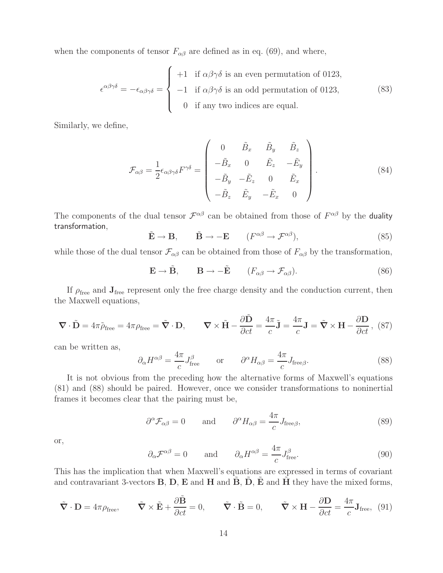when the components of tensor  $F_{\alpha\beta}$  are defined as in eq. (69), and where,

$$
\epsilon^{\alpha\beta\gamma\delta} = -\epsilon_{\alpha\beta\gamma\delta} = \begin{cases}\n+1 & \text{if } \alpha\beta\gamma\delta \text{ is an even permutation of 0123,} \\
-1 & \text{if } \alpha\beta\gamma\delta \text{ is an odd permutation of 0123,} \\
0 & \text{if any two indices are equal.} \n\end{cases}
$$
\n(83)

Similarly, we define,

$$
\mathcal{F}_{\alpha\beta} = \frac{1}{2} \epsilon_{\alpha\beta\gamma\delta} F^{\gamma\delta} = \begin{pmatrix} 0 & \tilde{B}_x & \tilde{B}_y & \tilde{B}_z \\ -\tilde{B}_x & 0 & \tilde{E}_z & -\tilde{E}_y \\ -\tilde{B}_y & -\tilde{E}_z & 0 & \tilde{E}_x \\ -\tilde{B}_z & \tilde{E}_y & -\tilde{E}_x & 0 \end{pmatrix} .
$$
\n(84)

The components of the dual tensor  $\mathcal{F}^{\alpha\beta}$  can be obtained from those of  $F^{\alpha\beta}$  by the duality transformation,

$$
\tilde{\mathbf{E}} \to \mathbf{B}, \qquad \tilde{\mathbf{B}} \to -\mathbf{E} \qquad (F^{\alpha\beta} \to \mathcal{F}^{\alpha\beta}), \tag{85}
$$

while those of the dual tensor  $\mathcal{F}_{\alpha\beta}$  can be obtained from those of  $F_{\alpha\beta}$  by the transformation,

$$
\mathbf{E} \to \tilde{\mathbf{B}}, \qquad \mathbf{B} \to -\tilde{\mathbf{E}} \qquad (F_{\alpha\beta} \to \mathcal{F}_{\alpha\beta}). \tag{86}
$$

If  $\rho_{\text{free}}$  and  $J_{\text{free}}$  represent only the free charge density and the conduction current, then the Maxwell equations,

$$
\nabla \cdot \tilde{\mathbf{D}} = 4\pi \tilde{\rho}_{\text{free}} = 4\pi \rho_{\text{free}} = \tilde{\nabla} \cdot \mathbf{D}, \qquad \nabla \times \tilde{\mathbf{H}} - \frac{\partial \tilde{\mathbf{D}}}{\partial ct} = \frac{4\pi}{c} \tilde{\mathbf{J}} = \frac{4\pi}{c} \mathbf{J} = \tilde{\nabla} \times \mathbf{H} - \frac{\partial \mathbf{D}}{\partial ct}, \tag{87}
$$

can be written as,

$$
\partial_{\alpha}H^{\alpha\beta} = \frac{4\pi}{c}J_{\text{free}}^{\beta} \qquad \text{or} \qquad \partial^{\alpha}H_{\alpha\beta} = \frac{4\pi}{c}J_{\text{free}\beta}.
$$
 (88)

It is not obvious from the preceding how the alternative forms of Maxwell's equations (81) and (88) should be paired. However, once we consider transformations to noninertial frames it becomes clear that the pairing must be,

$$
\partial^{\alpha} \mathcal{F}_{\alpha\beta} = 0
$$
 and  $\partial^{\alpha} H_{\alpha\beta} = \frac{4\pi}{c} J_{\text{free}\beta},$  (89)

or,

$$
\partial_{\alpha} \mathcal{F}^{\alpha\beta} = 0
$$
 and  $\partial_{\alpha} H^{\alpha\beta} = \frac{4\pi}{c} J_{\text{free}}^{\beta}.$  (90)

This has the implication that when Maxwell's equations are expressed in terms of covariant and contravariant 3-vectors **B**, **D**, **E** and **H** and **B**, **D**, **E** and **H** they have the mixed forms,

$$
\tilde{\nabla} \cdot \mathbf{D} = 4\pi \rho_{\text{free}}, \qquad \tilde{\nabla} \times \tilde{\mathbf{E}} + \frac{\partial \tilde{\mathbf{B}}}{\partial ct} = 0, \qquad \tilde{\nabla} \cdot \tilde{\mathbf{B}} = 0, \qquad \tilde{\nabla} \times \mathbf{H} - \frac{\partial \mathbf{D}}{\partial ct} = \frac{4\pi}{c} \mathbf{J}_{\text{free}}, \tag{91}
$$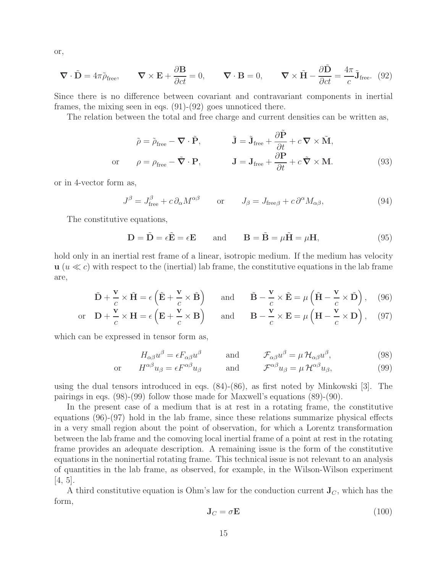or,

$$
\nabla \cdot \tilde{\mathbf{D}} = 4\pi \tilde{\rho}_{\text{free}}, \qquad \nabla \times \mathbf{E} + \frac{\partial \mathbf{B}}{\partial ct} = 0, \qquad \nabla \cdot \mathbf{B} = 0, \qquad \nabla \times \tilde{\mathbf{H}} - \frac{\partial \tilde{\mathbf{D}}}{\partial ct} = \frac{4\pi}{c} \tilde{\mathbf{J}}_{\text{free}}.
$$
 (92)

Since there is no difference between covariant and contravariant components in inertial frames, the mixing seen in eqs. (91)-(92) goes unnoticed there.

The relation between the total and free charge and current densities can be written as,

$$
\tilde{\rho} = \tilde{\rho}_{\text{free}} - \nabla \cdot \tilde{\mathbf{P}}, \qquad \tilde{\mathbf{J}} = \tilde{\mathbf{J}}_{\text{free}} + \frac{\partial \tilde{\mathbf{P}}}{\partial t} + c \nabla \times \tilde{\mathbf{M}},
$$
  
or 
$$
\rho = \rho_{\text{free}} - \tilde{\nabla} \cdot \mathbf{P}, \qquad \mathbf{J} = \mathbf{J}_{\text{free}} + \frac{\partial \mathbf{P}}{\partial t} + c \tilde{\nabla} \times \mathbf{M}.
$$
 (93)

or in 4-vector form as,

$$
J^{\beta} = J_{\text{free}}^{\beta} + c \, \partial_{\alpha} M^{\alpha \beta} \qquad \text{or} \qquad J_{\beta} = J_{\text{free}\beta} + c \, \partial^{\alpha} M_{\alpha \beta}, \tag{94}
$$

The constitutive equations,

$$
\mathbf{D} = \tilde{\mathbf{D}} = \epsilon \tilde{\mathbf{E}} = \epsilon \mathbf{E} \quad \text{and} \quad \mathbf{B} = \tilde{\mathbf{B}} = \mu \tilde{\mathbf{H}} = \mu \mathbf{H}, \tag{95}
$$

hold only in an inertial rest frame of a linear, isotropic medium. If the medium has velocity  $\mathbf{u}$  ( $u \ll c$ ) with respect to the (inertial) lab frame, the constitutive equations in the lab frame are,

$$
\tilde{\mathbf{D}} + \frac{\mathbf{v}}{c} \times \tilde{\mathbf{H}} = \epsilon \left( \tilde{\mathbf{E}} + \frac{\mathbf{v}}{c} \times \tilde{\mathbf{B}} \right) \quad \text{and} \quad \tilde{\mathbf{B}} - \frac{\mathbf{v}}{c} \times \tilde{\mathbf{E}} = \mu \left( \tilde{\mathbf{H}} - \frac{\mathbf{v}}{c} \times \tilde{\mathbf{D}} \right), \quad (96)
$$

or 
$$
\mathbf{D} + \frac{\mathbf{v}}{c} \times \mathbf{H} = \epsilon \left( \mathbf{E} + \frac{\mathbf{v}}{c} \times \mathbf{B} \right)
$$
 and  $\mathbf{B} - \frac{\mathbf{v}}{c} \times \mathbf{E} = \mu \left( \mathbf{H} - \frac{\mathbf{v}}{c} \times \mathbf{D} \right)$ , (97)

which can be expressed in tensor form as,

$$
H_{\alpha\beta}u^{\beta} = \epsilon F_{\alpha\beta}u^{\beta} \quad \text{and} \quad \mathcal{F}_{\alpha\beta}u^{\beta} = \mu \mathcal{H}_{\alpha\beta}u^{\beta}, \tag{98}
$$

or 
$$
H^{\alpha\beta}u_{\beta} = \epsilon F^{\alpha\beta}u_{\beta}
$$
 and  $\mathcal{F}^{\alpha\beta}u_{\beta} = \mu \mathcal{H}^{\alpha\beta}u_{\beta},$  (99)

using the dual tensors introduced in eqs. (84)-(86), as first noted by Minkowski [3]. The pairings in eqs. (98)-(99) follow those made for Maxwell's equations (89)-(90).

In the present case of a medium that is at rest in a rotating frame, the constitutive equations (96)-(97) hold in the lab frame, since these relations summarize physical effects in a very small region about the point of observation, for which a Lorentz transformation between the lab frame and the comoving local inertial frame of a point at rest in the rotating frame provides an adequate description. A remaining issue is the form of the constitutive equations in the noninertial rotating frame. This technical issue is not relevant to an analysis of quantities in the lab frame, as observed, for example, in the Wilson-Wilson experiment  $[4, 5]$ .

A third constitutive equation is Ohm's law for the conduction current  $J_C$ , which has the form,

$$
\mathbf{J}_C = \sigma \mathbf{E} \tag{100}
$$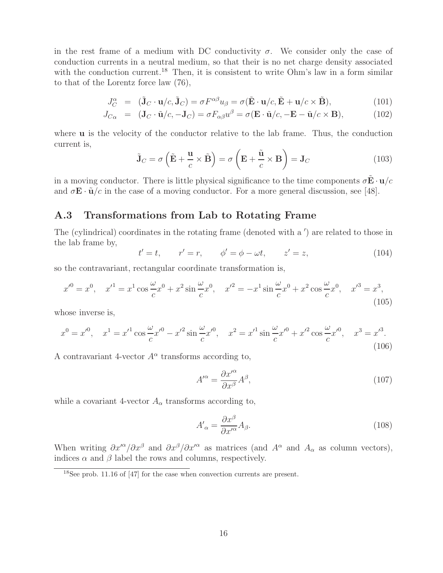in the rest frame of a medium with DC conductivity  $\sigma$ . We consider only the case of conduction currents in a neutral medium, so that their is no net charge density associated with the conduction current.<sup>18</sup> Then, it is consistent to write Ohm's law in a form similar to that of the Lorentz force law (76),

$$
J_C^{\alpha} = (\tilde{\mathbf{J}}_C \cdot \mathbf{u}/c, \tilde{\mathbf{J}}_C) = \sigma F^{\alpha\beta} u_{\beta} = \sigma (\tilde{\mathbf{E}} \cdot \mathbf{u}/c, \tilde{\mathbf{E}} + \mathbf{u}/c \times \tilde{\mathbf{B}}),
$$
(101)

$$
J_{C\alpha} = (\mathbf{J}_C \cdot \tilde{\mathbf{u}}/c, -\mathbf{J}_C) = \sigma F_{\alpha\beta} u^{\beta} = \sigma (\mathbf{E} \cdot \tilde{\mathbf{u}}/c, -\mathbf{E} - \tilde{\mathbf{u}}/c \times \mathbf{B}),
$$
(102)

where **u** is the velocity of the conductor relative to the lab frame. Thus, the conduction current is,

$$
\tilde{\mathbf{J}}_C = \sigma \left( \tilde{\mathbf{E}} + \frac{\mathbf{u}}{c} \times \tilde{\mathbf{B}} \right) = \sigma \left( \mathbf{E} + \frac{\tilde{\mathbf{u}}}{c} \times \mathbf{B} \right) = \mathbf{J}_C \tag{103}
$$

in a moving conductor. There is little physical significance to the time components  $\sigma \tilde{\mathbf{E}} \cdot \mathbf{u}/c$ and  $\sigma \mathbf{E} \cdot \tilde{\mathbf{u}}/c$  in the case of a moving conductor. For a more general discussion, see [48].

### **A.3 Transformations from Lab to Rotating Frame**

The (cylindrical) coordinates in the rotating frame (denoted with a ') are related to those in the lab frame by,

$$
t'=t, \qquad r'=r, \qquad \phi'=\phi-\omega t, \qquad z'=z, \tag{104}
$$

so the contravariant, rectangular coordinate transformation is,

$$
x'^0 = x^0, \quad x'^1 = x^1 \cos{\frac{\omega}{c}} x^0 + x^2 \sin{\frac{\omega}{c}} x^0, \quad x'^2 = -x^1 \sin{\frac{\omega}{c}} x^0 + x^2 \cos{\frac{\omega}{c}} x^0, \quad x'^3 = x^3,
$$
\n(105)

whose inverse is,

$$
x^{0} = x'^{0}, \quad x^{1} = x'^{1} \cos \frac{\omega}{c} x'^{0} - x'^{2} \sin \frac{\omega}{c} x'^{0}, \quad x^{2} = x'^{1} \sin \frac{\omega}{c} x'^{0} + x'^{2} \cos \frac{\omega}{c} x'^{0}, \quad x^{3} = x'^{3}.
$$
\n(106)

A contravariant 4-vector  $A^{\alpha}$  transforms according to,

$$
A^{\prime \alpha} = \frac{\partial x^{\prime \alpha}}{\partial x^{\beta}} A^{\beta},\tag{107}
$$

while a covariant 4-vector  $A_{\alpha}$  transforms according to,

$$
A'_{\alpha} = \frac{\partial x^{\beta}}{\partial x'^{\alpha}} A_{\beta}.
$$
\n(108)

When writing  $\partial x^{\prime\alpha}/\partial x^{\beta}$  and  $\partial x^{\beta}/\partial x^{\prime\alpha}$  as matrices (and  $A^{\alpha}$  and  $A_{\alpha}$  as column vectors), indices  $\alpha$  and  $\beta$  label the rows and columns, respectively.

<sup>18</sup>See prob. 11.16 of [47] for the case when convection currents are present.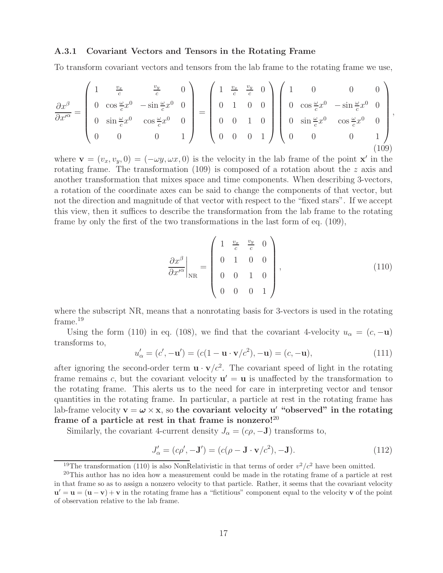#### **A.3.1 Covariant Vectors and Tensors in the Rotating Frame**

To transform covariant vectors and tensors from the lab frame to the rotating frame we use,

$$
\frac{\partial x^{\beta}}{\partial x^{\prime \alpha}} = \begin{pmatrix} 1 & \frac{v_x}{c} & \frac{v_y}{c} & 0 \\ 0 & \cos \frac{\omega}{c} x^{0} & -\sin \frac{\omega}{c} x^{0} & 0 \\ 0 & \sin \frac{\omega}{c} x^{0} & \cos \frac{\omega}{c} x^{0} & 0 \\ 0 & 0 & 0 & 1 \end{pmatrix} = \begin{pmatrix} 1 & \frac{v_x}{c} & \frac{v_y}{c} & 0 \\ 0 & 1 & 0 & 0 \\ 0 & 0 & 1 & 0 \\ 0 & 0 & 0 & 1 \end{pmatrix} \begin{pmatrix} 1 & 0 & 0 & 0 \\ 0 & \cos \frac{\omega}{c} x^{0} & -\sin \frac{\omega}{c} x^{0} & 0 \\ 0 & \sin \frac{\omega}{c} x^{0} & \cos \frac{\omega}{c} x^{0} & 0 \\ 0 & 0 & 0 & 1 \end{pmatrix},
$$
\n(109)

where  $\mathbf{v} = (v_x, v_y, 0) = (-\omega y, \omega x, 0)$  is the velocity in the lab frame of the point **x**<sup>'</sup> in the rotating frame. The transformation  $(109)$  is composed of a rotation about the z axis and another transformation that mixes space and time components. When describing 3-vectors, a rotation of the coordinate axes can be said to change the components of that vector, but not the direction and magnitude of that vector with respect to the "fixed stars". If we accept this view, then it suffices to describe the transformation from the lab frame to the rotating frame by only the first of the two transformations in the last form of eq. (109),

$$
\left. \frac{\partial x^{\beta}}{\partial x^{\prime \alpha}} \right|_{\rm NR} = \begin{pmatrix} 1 & \frac{v_x}{c} & \frac{v_y}{c} & 0 \\ 0 & 1 & 0 & 0 \\ 0 & 0 & 1 & 0 \\ 0 & 0 & 0 & 1 \end{pmatrix}, \tag{110}
$$

where the subscript NR, means that a nonrotating basis for 3-vectors is used in the rotating frame.<sup>19</sup>

Using the form (110) in eq. (108), we find that the covariant 4-velocity  $u_{\alpha} = (c, -\mathbf{u})$ transforms to,

$$
u'_{\alpha} = (c', -\mathbf{u}') = (c(1 - \mathbf{u} \cdot \mathbf{v}/c^2), -\mathbf{u}) = (c, -\mathbf{u}),
$$
\n(111)

after ignoring the second-order term  $\mathbf{u} \cdot \mathbf{v}/c^2$ . The covariant speed of light in the rotating frame remains c, but the covariant velocity  $\mathbf{u}' = \mathbf{u}$  is unaffected by the transformation to the rotating frame. This alerts us to the need for care in interpreting vector and tensor quantities in the rotating frame. In particular, a particle at rest in the rotating frame has lab-frame velocity  $\mathbf{v} = \boldsymbol{\omega} \times \mathbf{x}$ , so the covariant velocity u' "observed" in the rotating **frame of a particle at rest in that frame is nonzero!**<sup>20</sup>

Similarly, the covariant 4-current density  $J_{\alpha} = (c\rho, -J)$  transforms to,

$$
J'_{\alpha} = (c\rho', -\mathbf{J}') = (c(\rho - \mathbf{J} \cdot \mathbf{v}/c^2), -\mathbf{J}).
$$
\n(112)

<sup>&</sup>lt;sup>19</sup>The transformation (110) is also NonRelativistic in that terms of order  $v^2/c^2$  have been omitted.

<sup>&</sup>lt;sup>20</sup>This author has no idea how a measurement could be made in the rotating frame of a particle at rest in that frame so as to assign a nonzero velocity to that particle. Rather, it seems that the covariant velocity  $\mathbf{u}' = \mathbf{u} = (\mathbf{u} - \mathbf{v}) + \mathbf{v}$  in the rotating frame has a "fictitious" component equal to the velocity **v** of the point of observation relative to the lab frame.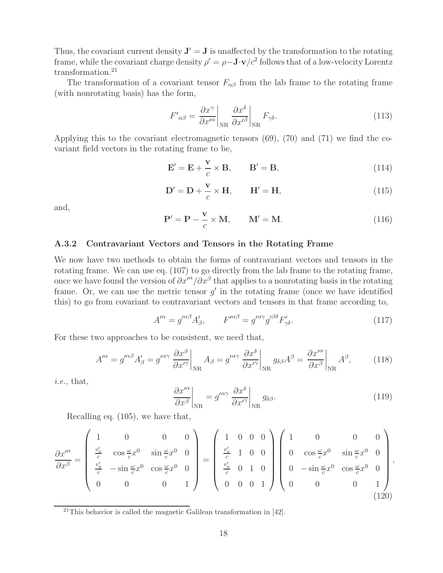Thus, the covariant current density  $J' = J$  is unaffected by the transformation to the rotating frame, while the covariant charge density  $\rho' = \rho - \mathbf{J} \cdot \mathbf{v}/c^2$  follows that of a low-velocity Lorentz transformation.<sup>21</sup>

The transformation of a covariant tensor  $F_{\alpha\beta}$  from the lab frame to the rotating frame (with nonrotating basis) has the form,

$$
F'_{\alpha\beta} = \frac{\partial x^{\gamma}}{\partial x'^{\alpha}} \bigg|_{\text{NR}} \frac{\partial x^{\delta}}{\partial x'^{\beta}} \bigg|_{\text{NR}} F_{\gamma\delta}.
$$
 (113)

Applying this to the covariant electromagnetic tensors (69), (70) and (71) we find the covariant field vectors in the rotating frame to be,

$$
\mathbf{E}' = \mathbf{E} + \frac{\mathbf{v}}{c} \times \mathbf{B}, \qquad \mathbf{B}' = \mathbf{B}, \tag{114}
$$

$$
\mathbf{D}' = \mathbf{D} + \frac{\mathbf{v}}{c} \times \mathbf{H}, \qquad \mathbf{H}' = \mathbf{H}, \tag{115}
$$

and,

$$
\mathbf{P}' = \mathbf{P} - \frac{\mathbf{v}}{c} \times \mathbf{M}, \qquad \mathbf{M}' = \mathbf{M}.
$$
 (116)

#### **A.3.2 Contravariant Vectors and Tensors in the Rotating Frame**

We now have two methods to obtain the forms of contravariant vectors and tensors in the rotating frame. We can use eq. (107) to go directly from the lab frame to the rotating frame, once we have found the version of  $\partial x'^{\alpha}/\partial x^{\beta}$  that applies to a nonrotating basis in the rotating frame. Or, we can use the metric tensor  $g'$  in the rotating frame (once we have identified this) to go from covariant to contravariant vectors and tensors in that frame according to,

$$
A^{\prime \alpha} = g^{\prime \alpha \beta} A^{\prime}_{\beta}, \qquad F^{\prime \alpha \beta} = g^{\prime \alpha \gamma} g^{\prime \beta \delta} F^{\prime}_{\gamma \delta}. \tag{117}
$$

For these two approaches to be consistent, we need that,

$$
A^{\prime \alpha} = g^{\prime \alpha \beta} A^{\prime}_{\beta} = g^{\prime \alpha \gamma} \left. \frac{\partial x^{\beta}}{\partial x^{\prime \gamma}} \right|_{\text{NR}} A_{\beta} = g^{\prime \alpha \gamma} \left. \frac{\partial x^{\delta}}{\partial x^{\prime \gamma}} \right|_{\text{NR}} g_{\delta \beta} A^{\beta} = \left. \frac{\partial x^{\prime \alpha}}{\partial x^{\beta}} \right|_{\text{NR}} A^{\beta},\tag{118}
$$

*i.e.*, that,

$$
\left. \frac{\partial x^{\prime \alpha}}{\partial x^{\beta}} \right|_{\text{NR}} = g^{\prime \alpha \gamma} \left. \frac{\partial x^{\delta}}{\partial x^{\prime \gamma}} \right|_{\text{NR}} g_{\delta \beta}.
$$
\n(119)

Recalling eq. (105), we have that,

$$
\frac{\partial x^{\prime \alpha}}{\partial x^{\beta}} = \begin{pmatrix} 1 & 0 & 0 & 0 \\ \frac{v_x^{\prime}}{c} & \cos \frac{\omega}{c} x^{0} & \sin \frac{\omega}{c} x^{0} & 0 \\ \frac{v_y^{\prime}}{c} & -\sin \frac{\omega}{c} x^{0} & \cos \frac{\omega}{c} x^{0} & 0 \\ 0 & 0 & 0 & 1 \end{pmatrix} = \begin{pmatrix} 1 & 0 & 0 & 0 \\ \frac{v_x^{\prime}}{c} & 1 & 0 & 0 \\ \frac{v_y^{\prime}}{c} & 0 & 1 & 0 \\ 0 & 0 & 0 & 1 \end{pmatrix} \begin{pmatrix} 1 & 0 & 0 & 0 \\ 0 & \cos \frac{\omega}{c} x^{0} & \sin \frac{\omega}{c} x^{0} & 0 \\ 0 & -\sin \frac{\omega}{c} x^{0} & \cos \frac{\omega}{c} x^{0} & 0 \\ 0 & 0 & 0 & 1 \end{pmatrix},
$$
\n(120)

 $21$ This behavior is called the magnetic Galilean transformation in [42].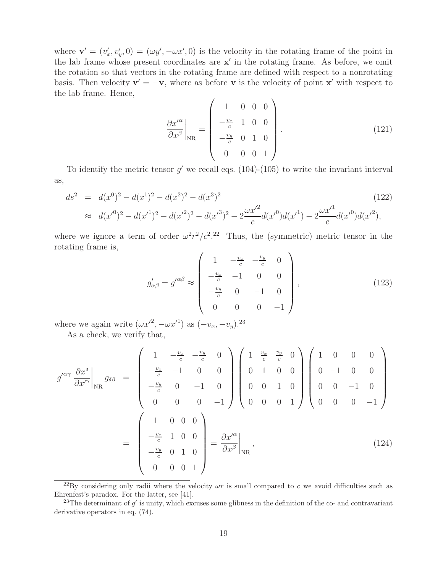where  $\mathbf{v}' = (v'_x, v'_y, 0) = (\omega y', -\omega x', 0)$  is the velocity in the rotating frame of the point in the lab frame whose present coordinates are  $x'$  in the rotating frame. As before, we omit the rotation so that vectors in the rotating frame are defined with respect to a nonrotating basis. Then velocity  $\mathbf{v}' = -\mathbf{v}$ , where as before **v** is the velocity of point **x**<sup> $\prime$ </sup> with respect to the lab frame. Hence,

$$
\left. \frac{\partial x^{\prime \alpha}}{\partial x^{\beta}} \right|_{\rm NR} = \begin{pmatrix} 1 & 0 & 0 & 0 \\ -\frac{v_x}{c} & 1 & 0 & 0 \\ -\frac{v_y}{c} & 0 & 1 & 0 \\ 0 & 0 & 0 & 1 \end{pmatrix} . \tag{121}
$$

To identify the metric tensor  $g'$  we recall eqs. (104)-(105) to write the invariant interval as,

$$
ds^{2} = d(x^{0})^{2} - d(x^{1})^{2} - d(x^{2})^{2} - d(x^{3})^{2}
$$
\n
$$
\approx d(x'^{0})^{2} - d(x'^{1})^{2} - d(x'^{2})^{2} - d(x'^{3})^{2} - 2\frac{\omega x'^{2}}{c}d(x'^{0})d(x'^{1}) - 2\frac{\omega x'^{1}}{c}d(x'^{0})d(x'^{2}),
$$
\n(122)

where we ignore a term of order  $\omega^2 r^2/c^2$ .<sup>22</sup> Thus, the (symmetric) metric tensor in the rotating frame is,

$$
g'_{\alpha\beta} = g'^{\alpha\beta} \approx \begin{pmatrix} 1 & -\frac{v_x}{c} & -\frac{v_y}{c} & 0 \\ -\frac{v_x}{c} & -1 & 0 & 0 \\ -\frac{v_y}{c} & 0 & -1 & 0 \\ 0 & 0 & 0 & -1 \end{pmatrix},
$$
(123)

where we again write  $(\omega x^2, -\omega x^1)$  as  $(-v_x, -v_y)$ .<sup>23</sup> As a check, we verify that,

 $\overline{a}$ 

$$
g^{\prime \alpha \gamma} \frac{\partial x^{\delta}}{\partial x^{\prime \gamma}} \Big|_{\text{NR}} g_{\delta \beta} = \begin{pmatrix} 1 & -\frac{v_x}{c} & -\frac{v_y}{c} & 0 \\ -\frac{v_x}{c} & -1 & 0 & 0 \\ -\frac{v_y}{c} & 0 & -1 & 0 \\ 0 & 0 & 0 & -1 \end{pmatrix} \begin{pmatrix} 1 & \frac{v_x}{c} & \frac{v_y}{c} & 0 \\ 0 & 1 & 0 & 0 \\ 0 & 0 & 1 & 0 \\ 0 & 0 & 0 & 1 \end{pmatrix} \begin{pmatrix} 1 & 0 & 0 & 0 \\ 0 & -1 & 0 & 0 \\ 0 & 0 & -1 & 0 \\ 0 & 0 & 0 & -1 \end{pmatrix}
$$

$$
= \begin{pmatrix} 1 & 0 & 0 & 0 \\ -\frac{v_x}{c} & 1 & 0 & 0 \\ -\frac{v_y}{c} & 0 & 1 & 0 \\ 0 & 0 & 0 & 1 \end{pmatrix} = \frac{\partial x^{\prime \alpha}}{\partial x^{\beta}} \Big|_{\text{NR}}, \qquad (124)
$$

<sup>&</sup>lt;sup>22</sup>By considering only radii where the velocity  $\omega r$  is small compared to c we avoid difficulties such as Ehrenfest's paradox. For the latter, see [41].

<sup>&</sup>lt;sup>23</sup>The determinant of  $g'$  is unity, which excuses some glibness in the definition of the co- and contravariant derivative operators in eq. (74).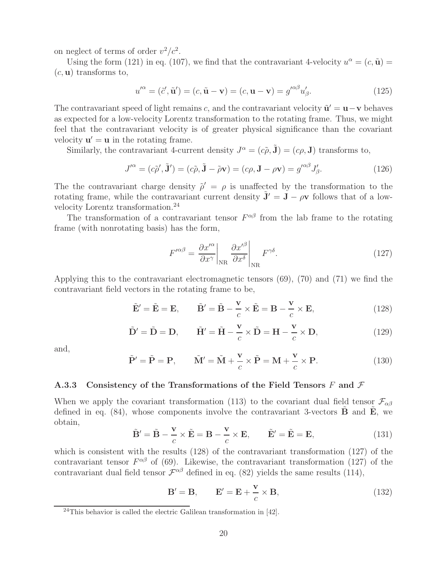on neglect of terms of order  $v^2/c^2$ .

Using the form (121) in eq. (107), we find that the contravariant 4-velocity  $u^{\alpha} = (c, \tilde{\mathbf{u}})$ (c, **u**) transforms to,

$$
u^{\prime \alpha} = (\tilde{c}', \tilde{\mathbf{u}}') = (c, \tilde{\mathbf{u}} - \mathbf{v}) = (c, \mathbf{u} - \mathbf{v}) = g^{\prime \alpha \beta} u_{\beta}'. \tag{125}
$$

The contravariant speed of light remains c, and the contravariant velocity  $\tilde{\mathbf{u}}' = \mathbf{u} - \mathbf{v}$  behaves as expected for a low-velocity Lorentz transformation to the rotating frame. Thus, we might feel that the contravariant velocity is of greater physical significance than the covariant velocity  $\mathbf{u}' = \mathbf{u}$  in the rotating frame.

Similarly, the contravariant 4-current density  $J^{\alpha} = (c\tilde{\rho}, \tilde{\mathbf{J}}) = (c\rho, \mathbf{J})$  transforms to,

$$
J^{\prime \alpha} = (c\tilde{\rho}', \tilde{\mathbf{J}}') = (c\tilde{\rho}, \tilde{\mathbf{J}} - \tilde{\rho}\mathbf{v}) = (c\rho, \mathbf{J} - \rho\mathbf{v}) = g^{\prime \alpha \beta} J_{\beta}'. \tag{126}
$$

The the contravariant charge density  $\tilde{\rho}' = \rho$  is unaffected by the transformation to the rotating frame, while the contravariant current density  $\tilde{\mathbf{J}}' = \mathbf{J} - \rho \mathbf{v}$  follows that of a lowvelocity Lorentz transformation.<sup>24</sup>

The transformation of a contravariant tensor  $F^{\alpha\beta}$  from the lab frame to the rotating frame (with nonrotating basis) has the form,

$$
F^{\prime \alpha \beta} = \left. \frac{\partial x^{\prime \alpha}}{\partial x^{\gamma}} \right|_{\text{NR}} \left. \frac{\partial x^{\prime \beta}}{\partial x^{\delta}} \right|_{\text{NR}} F^{\gamma \delta}.
$$
 (127)

Applying this to the contravariant electromagnetic tensors (69), (70) and (71) we find the contravariant field vectors in the rotating frame to be,

$$
\tilde{\mathbf{E}}' = \tilde{\mathbf{E}} = \mathbf{E}, \qquad \tilde{\mathbf{B}}' = \tilde{\mathbf{B}} - \frac{\mathbf{v}}{c} \times \tilde{\mathbf{E}} = \mathbf{B} - \frac{\mathbf{v}}{c} \times \mathbf{E}, \tag{128}
$$

$$
\tilde{\mathbf{D}}' = \tilde{\mathbf{D}} = \mathbf{D}, \qquad \tilde{\mathbf{H}}' = \tilde{\mathbf{H}} - \frac{\mathbf{v}}{c} \times \tilde{\mathbf{D}} = \mathbf{H} - \frac{\mathbf{v}}{c} \times \mathbf{D}, \tag{129}
$$

and,

$$
\tilde{\mathbf{P}}' = \tilde{\mathbf{P}} = \mathbf{P}, \qquad \tilde{\mathbf{M}}' = \tilde{\mathbf{M}} + \frac{\mathbf{v}}{c} \times \tilde{\mathbf{P}} = \mathbf{M} + \frac{\mathbf{v}}{c} \times \mathbf{P}.
$$
 (130)

#### **A.3.3 Consistency of the Transformations of the Field Tensors** F **and** F

When we apply the covariant transformation (113) to the covariant dual field tensor  $\mathcal{F}_{\alpha\beta}$ defined in eq.  $(84)$ , whose components involve the contravariant 3-vectors **B** and **E**, we obtain,

$$
\tilde{\mathbf{B}}' = \tilde{\mathbf{B}} - \frac{\mathbf{v}}{c} \times \tilde{\mathbf{E}} = \mathbf{B} - \frac{\mathbf{v}}{c} \times \mathbf{E}, \qquad \tilde{\mathbf{E}}' = \tilde{\mathbf{E}} = \mathbf{E}, \tag{131}
$$

which is consistent with the results  $(128)$  of the contravariant transformation  $(127)$  of the contravariant tensor  $F^{\alpha\beta}$  of (69). Likewise, the contravariant transformation (127) of the contravariant dual field tensor  $\mathcal{F}^{\alpha\beta}$  defined in eq. (82) yields the same results (114),

$$
\mathbf{B}' = \mathbf{B}, \qquad \mathbf{E}' = \mathbf{E} + \frac{\mathbf{v}}{c} \times \mathbf{B}, \tag{132}
$$

<sup>24</sup>This behavior is called the electric Galilean transformation in [42].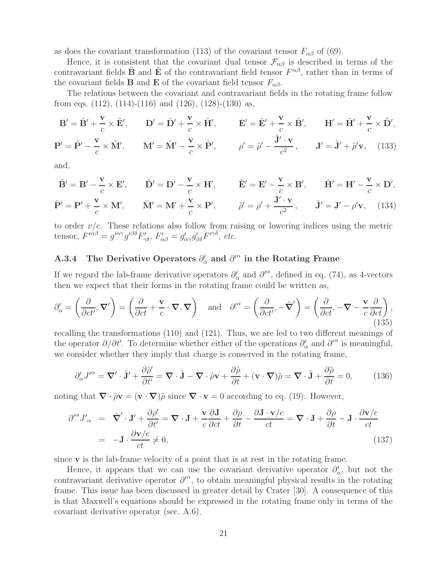as does the covariant transformation (113) of the covariant tensor  $F_{\alpha\beta}$  of (69).

Hence, it is consistent that the covariant dual tensor  $\mathcal{F}_{\alpha\beta}$  is described in terms of the contravariant fields **B** and **E** of the contravariant field tensor  $F^{\alpha\beta}$ , rather than in terms of the covariant fields **B** and **E** of the covariant field tensor  $F_{\alpha\beta}$ .

The relations between the covariant and contravariant fields in the rotating frame follow from eqs.  $(112)$ ,  $(114)-(116)$  and  $(126)$ ,  $(128)-(130)$  as,

$$
\mathbf{B}' = \tilde{\mathbf{B}}' + \frac{\mathbf{v}}{c} \times \tilde{\mathbf{E}}', \qquad \mathbf{D}' = \tilde{\mathbf{D}}' + \frac{\mathbf{v}}{c} \times \tilde{\mathbf{H}}', \qquad \mathbf{E}' = \tilde{\mathbf{E}}' + \frac{\mathbf{v}}{c} \times \tilde{\mathbf{B}}', \qquad \mathbf{H}' = \tilde{\mathbf{H}}' + \frac{\mathbf{v}}{c} \times \tilde{\mathbf{D}}',
$$
  

$$
\mathbf{P}' = \tilde{\mathbf{P}}' - \frac{\mathbf{v}}{c} \times \tilde{\mathbf{M}}', \qquad \mathbf{M}' = \tilde{\mathbf{M}}' - \frac{\mathbf{v}}{c} \times \tilde{\mathbf{P}}', \qquad \rho' = \tilde{\rho}' - \frac{\tilde{\mathbf{J}}' \cdot \mathbf{v}}{c^2}, \qquad \mathbf{J}' = \tilde{\mathbf{J}}' + \tilde{\rho}' \mathbf{v}, \qquad (133)
$$

and,

$$
\tilde{\mathbf{B}}' = \mathbf{B}' - \frac{\mathbf{v}}{c} \times \mathbf{E}', \qquad \tilde{\mathbf{D}}' = \mathbf{D}' - \frac{\mathbf{v}}{c} \times \mathbf{H}', \qquad \tilde{\mathbf{E}}' = \mathbf{E}' - \frac{\mathbf{v}}{c} \times \mathbf{B}', \qquad \tilde{\mathbf{H}}' = \mathbf{H}' - \frac{\mathbf{v}}{c} \times \mathbf{D}',
$$
\n
$$
\tilde{\mathbf{P}}' = \mathbf{P}' + \frac{\mathbf{v}}{c} \times \mathbf{M}', \qquad \tilde{\mathbf{M}}' = \mathbf{M}' + \frac{\mathbf{v}}{c} \times \mathbf{P}', \qquad \tilde{\rho}' = \rho' + \frac{\mathbf{J}' \cdot \mathbf{v}}{c^2}, \qquad \tilde{\mathbf{J}}' = \mathbf{J}' - \rho' \mathbf{v}, \qquad (134)
$$

to order  $v/c$ . These relations also follow from raising or lowering indices using the metric tensor,  $F^{\prime\alpha\beta} = g^{\prime\alpha\gamma}g^{\prime\beta\delta}F'_{\gamma\delta}$ ,  $F'_{\alpha\beta} = g'_{\alpha\gamma}g'_{\beta\delta}F^{\prime\gamma\delta}$ , etc.

## **A.3.4** The Derivative Operators  $\partial'_{\alpha}$  and  $\partial'^{\alpha}$  in the Rotating Frame

If we regard the lab-frame derivative operators  $\partial'_{\alpha}$  and  $\partial'^{\alpha}$ , defined in eq. (74), as 4-vectors then we expect that their forms in the rotating frame could be written as,

$$
\partial'_{\alpha} = \left(\frac{\partial}{\partial ct'}, \nabla'\right) = \left(\frac{\partial}{\partial ct} + \frac{\mathbf{v}}{c} \cdot \nabla, \nabla\right) \quad \text{and} \quad \partial'^{\alpha} = \left(\frac{\partial}{\partial ct'}, -\tilde{\nabla}'\right) = \left(\frac{\partial}{\partial ct}, -\nabla - \frac{\mathbf{v}}{c}\frac{\partial}{\partial ct}\right),\tag{135}
$$

recalling the transformations (110) and (121). Thus, we are led to two different meanings of the operator  $\partial/\partial t'$ . To determine whether either of the operations  $\partial'_{\alpha}$  and  $\partial'^{\alpha}$  is meaningful, we consider whether they imply that charge is conserved in the rotating frame,

$$
\partial'_{\alpha} J'^{\alpha} = \nabla' \cdot \tilde{\mathbf{J}}' + \frac{\partial \tilde{\rho}'}{\partial t'} = \nabla \cdot \tilde{\mathbf{J}} - \nabla \cdot \tilde{\rho} \mathbf{v} + \frac{\partial \tilde{\rho}}{\partial t} + (\mathbf{v} \cdot \nabla) \tilde{\rho} = \nabla \cdot \tilde{\mathbf{J}} + \frac{\partial \tilde{\rho}}{\partial t} = 0,
$$
 (136)

noting that  $\nabla \cdot \tilde{\rho} \mathbf{v} = (\mathbf{v} \cdot \nabla) \tilde{\rho}$  since  $\nabla \cdot \mathbf{v} = 0$  according to eq. (19). However,

$$
\partial^{\prime \alpha} J'_{\alpha} = \tilde{\nabla}' \cdot \mathbf{J}' + \frac{\partial \rho'}{\partial t'} = \nabla \cdot \mathbf{J} + \frac{\mathbf{v}}{c} \frac{\partial \mathbf{J}}{\partial ct} + \frac{\partial \rho}{\partial t} - \frac{\partial \mathbf{J} \cdot \mathbf{v}/c}{ct} = \nabla \cdot \mathbf{J} + \frac{\partial \rho}{\partial t} - \mathbf{J} \cdot \frac{\partial \mathbf{v}/c}{ct}
$$
\n
$$
= -\mathbf{J} \cdot \frac{\partial \mathbf{v}/c}{ct} \neq 0,
$$
\n(137)

since **v** is the lab-frame velocity of a point that is at rest in the rotating frame.

Hence, it appears that we can use the covariant derivative operator  $\partial'_{\alpha}$ , but not the contravariant derivative operator  $\partial^{\alpha}$ , to obtain meaningful physical results in the rotating frame. This issue has been discussed in greater detail by Crater [30]. A consequence of this is that Maxwell's equations should be expressed in the rotating frame only in terms of the covariant derivative operator (sec. A.6).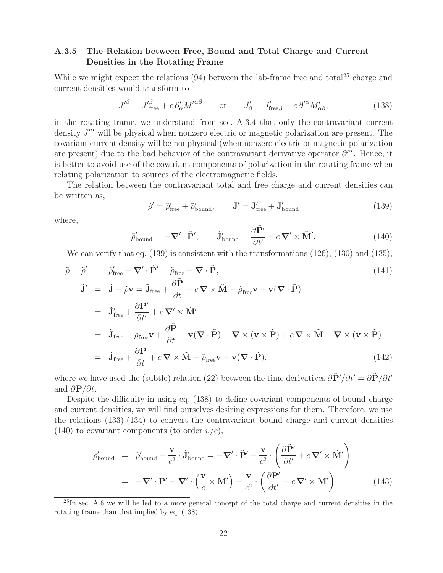### **A.3.5 The Relation between Free, Bound and Total Charge and Current Densities in the Rotating Frame**

While we might expect the relations  $(94)$  between the lab-frame free and total<sup>25</sup> charge and current densities would transform to

$$
J^{\prime \beta} = J^{\prime \beta}_{\text{free}} + c \, \partial_{\alpha}^{\prime} M^{\prime \alpha \beta} \qquad \text{or} \qquad J_{\beta}^{\prime} = J_{\text{free} \beta}^{\prime} + c \, \partial^{\prime \alpha} M^{\prime}_{\alpha \beta}, \tag{138}
$$

in the rotating frame, we understand from sec. A.3.4 that only the contravariant current density  $J^{\prime\alpha}$  will be physical when nonzero electric or magnetic polarization are present. The covariant current density will be nonphysical (when nonzero electric or magnetic polarization are present) due to the bad behavior of the contravariant derivative operator  $\partial^{\alpha}$ . Hence, it is better to avoid use of the covariant components of polarization in the rotating frame when relating polarization to sources of the electromagnetic fields.

The relation between the contravariant total and free charge and current densities can be written as,

$$
\tilde{\rho}' = \tilde{\rho}'_{\text{free}} + \tilde{\rho}'_{\text{bound}}, \qquad \tilde{\mathbf{J}}' = \tilde{\mathbf{J}}'_{\text{free}} + \tilde{\mathbf{J}}'_{\text{bound}} \tag{139}
$$

where,

$$
\tilde{\rho}'_{\text{bound}} = -\nabla' \cdot \tilde{\mathbf{P}}', \qquad \tilde{\mathbf{J}}'_{\text{bound}} = \frac{\partial \tilde{\mathbf{P}}'}{\partial t'} + c \, \nabla' \times \tilde{\mathbf{M}}'. \tag{140}
$$

We can verify that eq. (139) is consistent with the transformations (126), (130) and (135),

$$
\tilde{\rho} = \tilde{\rho}' = \tilde{\rho}'_{\text{free}} - \nabla' \cdot \tilde{\mathbf{P}}' = \tilde{\rho}_{\text{free}} - \nabla \cdot \tilde{\mathbf{P}},
$$
\n
$$
\tilde{\mathbf{J}}' = \tilde{\mathbf{J}} - \tilde{\rho}\mathbf{v} = \tilde{\mathbf{J}}_{\text{free}} + \frac{\partial \tilde{\mathbf{P}}}{\partial t} + c \nabla \times \tilde{\mathbf{M}} - \tilde{\rho}_{\text{free}}\mathbf{v} + \mathbf{v}(\nabla \cdot \tilde{\mathbf{P}})
$$
\n
$$
= \tilde{\mathbf{J}}'_{\text{free}} + \frac{\partial \tilde{\mathbf{P}}'}{\partial t'} + c \nabla' \times \tilde{\mathbf{M}}'
$$
\n
$$
= \tilde{\mathbf{J}}_{\text{free}} - \tilde{\rho}_{\text{free}}\mathbf{v} + \frac{\partial \tilde{\mathbf{P}}}{\partial t} + \mathbf{v}(\nabla \cdot \tilde{\mathbf{P}}) - \nabla \times (\mathbf{v} \times \tilde{\mathbf{P}}) + c \nabla \times \tilde{\mathbf{M}} + \nabla \times (\mathbf{v} \times \tilde{\mathbf{P}})
$$
\n
$$
= \tilde{\mathbf{J}}_{\text{free}} + \frac{\partial \tilde{\mathbf{P}}}{\partial t} + c \nabla \times \tilde{\mathbf{M}} - \tilde{\rho}_{\text{free}}\mathbf{v} + \mathbf{v}(\nabla \cdot \tilde{\mathbf{P}}),
$$
\n(142)

where we have used the (subtle) relation (22) between the time derivatives  $\frac{\partial \tilde{P}'}{\partial t'} = \frac{\partial \tilde{P}}{\partial t'}$ and  $\partial \mathbf{P}/\partial t$ .

Despite the difficulty in using eq. (138) to define covariant components of bound charge and current densities, we will find ourselves desiring expressions for them. Therefore, we use the relations (133)-(134) to convert the contravariant bound charge and current densities  $(140)$  to covariant components (to order  $v/c$ ),

$$
\rho'_{\text{bound}} = \tilde{\rho}'_{\text{bound}} - \frac{\mathbf{v}}{c^2} \cdot \tilde{\mathbf{J}}'_{\text{bound}} = -\nabla' \cdot \tilde{\mathbf{P}}' - \frac{\mathbf{v}}{c^2} \cdot \left( \frac{\partial \tilde{\mathbf{P}}'}{\partial t'} + c \, \nabla' \times \tilde{\mathbf{M}}' \right)
$$
\n
$$
= -\nabla' \cdot \mathbf{P}' - \nabla' \cdot \left( \frac{\mathbf{v}}{c} \times \mathbf{M}' \right) - \frac{\mathbf{v}}{c^2} \cdot \left( \frac{\partial \mathbf{P}'}{\partial t'} + c \, \nabla' \times \mathbf{M}' \right) \tag{143}
$$

 $^{25}$ In sec. A.6 we will be led to a more general concept of the total charge and current densities in the rotating frame than that implied by eq. (138).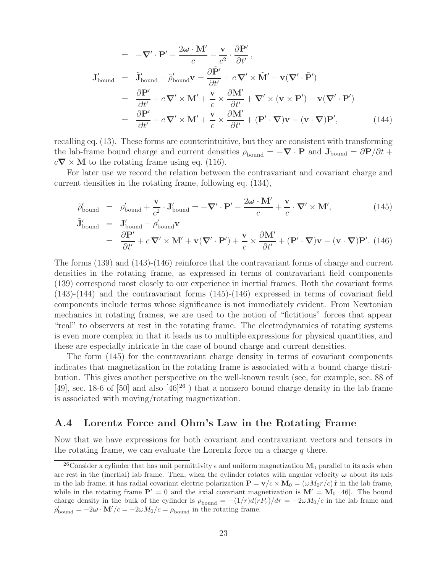$$
= -\nabla' \cdot \mathbf{P}' - \frac{2\omega \cdot \mathbf{M}'}{c} - \frac{\mathbf{v}}{c^2} \cdot \frac{\partial \mathbf{P}'}{\partial t'},
$$
  
\n
$$
\mathbf{J}_{\text{bound}}' = \tilde{\mathbf{J}}_{\text{bound}}' + \tilde{\rho}_{\text{bound}}' \mathbf{v} = \frac{\partial \tilde{\mathbf{P}}'}{\partial t'} + c \nabla' \times \tilde{\mathbf{M}}' - \mathbf{v}(\nabla' \cdot \tilde{\mathbf{P}}')
$$
  
\n
$$
= \frac{\partial \mathbf{P}'}{\partial t'} + c \nabla' \times \mathbf{M}' + \frac{\mathbf{v}}{c} \times \frac{\partial \mathbf{M}'}{\partial t'} + \nabla' \times (\mathbf{v} \times \mathbf{P}') - \mathbf{v}(\nabla' \cdot \mathbf{P}')
$$
  
\n
$$
= \frac{\partial \mathbf{P}'}{\partial t'} + c \nabla' \times \mathbf{M}' + \frac{\mathbf{v}}{c} \times \frac{\partial \mathbf{M}'}{\partial t'} + (\mathbf{P}' \cdot \nabla) \mathbf{v} - (\mathbf{v} \cdot \nabla) \mathbf{P}', \qquad (144)
$$

recalling eq. (13). These forms are counterintuitive, but they are consistent with transforming the lab-frame bound charge and current densities  $\rho_{\text{bound}} = -\nabla \cdot \mathbf{P}$  and  $\mathbf{J}_{\text{bound}} = \partial \mathbf{P}/\partial t + \nabla \cdot \mathbf{P}$  $c\nabla \times M$  to the rotating frame using eq. (116).

For later use we record the relation between the contravariant and covariant charge and current densities in the rotating frame, following eq. (134),

$$
\tilde{\rho}_{\text{bound}}' = \rho_{\text{bound}}' + \frac{\mathbf{v}}{c^2} \cdot \mathbf{J}_{\text{bound}}' = -\nabla' \cdot \mathbf{P}' - \frac{2\boldsymbol{\omega} \cdot \mathbf{M}'}{c} + \frac{\mathbf{v}}{c} \cdot \nabla' \times \mathbf{M}',
$$
\n(145)\n
$$
\tilde{\mathbf{J}}_{\text{bound}}' = \mathbf{J}_{\text{bound}}' - \rho_{\text{bound}}' \mathbf{V}
$$

$$
\dot{\mathbf{D}}'_{\text{bound}} = \mathbf{J}'_{\text{bound}} - \rho'_{\text{bound}} \mathbf{v}
$$
\n
$$
= \frac{\partial \mathbf{P}'}{\partial t'} + c \nabla' \times \mathbf{M}' + \mathbf{v}(\nabla' \cdot \mathbf{P}') + \frac{\mathbf{v}}{c} \times \frac{\partial \mathbf{M}'}{\partial t'} + (\mathbf{P}' \cdot \nabla) \mathbf{v} - (\mathbf{v} \cdot \nabla) \mathbf{P}'. \tag{146}
$$

The forms (139) and (143)-(146) reinforce that the contravariant forms of charge and current densities in the rotating frame, as expressed in terms of contravariant field components (139) correspond most closely to our experience in inertial frames. Both the covariant forms (143)-(144) and the contravariant forms (145)-(146) expressed in terms of covariant field components include terms whose significance is not immediately evident. From Newtonian mechanics in rotating frames, we are used to the notion of "fictitious" forces that appear "real" to observers at rest in the rotating frame. The electrodynamics of rotating systems is even more complex in that it leads us to multiple expressions for physical quantities, and these are especially intricate in the case of bound charge and current densities.

The form (145) for the contravariant charge density in terms of covariant components indicates that magnetization in the rotating frame is associated with a bound charge distribution. This gives another perspective on the well-known result (see, for example, sec. 88 of [49], sec. 18-6 of [50] and also  $[46]^{26}$  ) that a nonzero bound charge density in the lab frame is associated with moving/rotating magnetization.

### **A.4 Lorentz Force and Ohm's Law in the Rotating Frame**

Now that we have expressions for both covariant and contravariant vectors and tensors in the rotating frame, we can evaluate the Lorentz force on a charge  $q$  there.

<sup>&</sup>lt;sup>26</sup>Consider a cylinder that has unit permittivity  $\epsilon$  and uniform magnetization **M**<sub>0</sub> parallel to its axis when are rest in the (inertial) lab frame. Then, when the cylinder rotates with angular velocity  $\omega$  about its axis in the lab frame, it has radial covariant electric polarization  $\mathbf{P} = \mathbf{v}/c \times \mathbf{M}_0 = (\omega M_0 r/c) \hat{\mathbf{r}}$  in the lab frame, while in the rotating frame  $P' = 0$  and the axial covariant magnetization is  $M' = M_0$  [46]. The bound charge density in the bulk of the cylinder is  $\rho_{\text{bound}} = -(1/r)d(rP_r)/dr = -2\omega M_0/c$  in the lab frame and  $\tilde{\rho}'_{\text{bound}} = -2\boldsymbol{\omega} \cdot \mathbf{M}'/c = -2\omega M_0/c = \rho_{\text{bound}}$  in the rotating frame.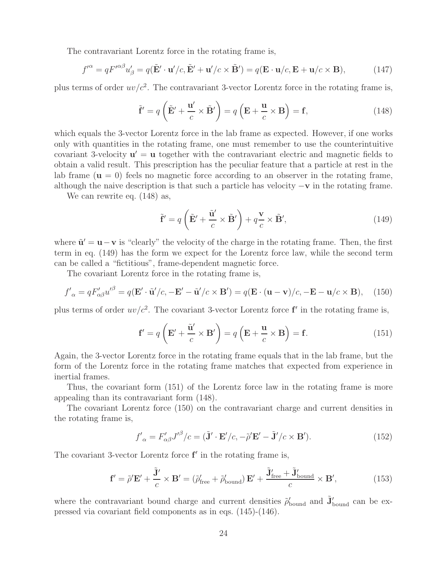The contravariant Lorentz force in the rotating frame is,

$$
f^{\prime \alpha} = q F^{\prime \alpha \beta} u_{\beta}^{\prime} = q (\tilde{\mathbf{E}}^{\prime} \cdot \mathbf{u}^{\prime}/c, \tilde{\mathbf{E}}^{\prime} + \mathbf{u}^{\prime}/c \times \tilde{\mathbf{B}}^{\prime}) = q (\mathbf{E} \cdot \mathbf{u}/c, \mathbf{E} + \mathbf{u}/c \times \mathbf{B}), \tag{147}
$$

plus terms of order  $uv/c^2$ . The contravariant 3-vector Lorentz force in the rotating frame is,

$$
\tilde{\mathbf{f}}' = q\left(\tilde{\mathbf{E}}' + \frac{\mathbf{u}'}{c} \times \tilde{\mathbf{B}}'\right) = q\left(\mathbf{E} + \frac{\mathbf{u}}{c} \times \mathbf{B}\right) = \mathbf{f},\tag{148}
$$

which equals the 3-vector Lorentz force in the lab frame as expected. However, if one works only with quantities in the rotating frame, one must remember to use the counterintuitive covariant 3-velocity  $\mathbf{u}' = \mathbf{u}$  together with the contravariant electric and magnetic fields to obtain a valid result. This prescription has the peculiar feature that a particle at rest in the lab frame  $(\mathbf{u} = 0)$  feels no magnetic force according to an observer in the rotating frame, although the naive description is that such a particle has velocity −**v** in the rotating frame.

We can rewrite eq. (148) as,

$$
\tilde{\mathbf{f}}' = q\left(\tilde{\mathbf{E}}' + \frac{\tilde{\mathbf{u}}'}{c} \times \tilde{\mathbf{B}}'\right) + q\frac{\mathbf{v}}{c} \times \tilde{\mathbf{B}}',\tag{149}
$$

where  $\tilde{\mathbf{u}}' = \mathbf{u} - \mathbf{v}$  is "clearly" the velocity of the charge in the rotating frame. Then, the first term in eq. (149) has the form we expect for the Lorentz force law, while the second term can be called a "fictitious", frame-dependent magnetic force.

The covariant Lorentz force in the rotating frame is,

$$
f'_{\alpha} = qF'_{\alpha\beta}u'^{\beta} = q(\mathbf{E}' \cdot \tilde{\mathbf{u}}')c, -\mathbf{E}' - \tilde{\mathbf{u}}'/c \times \mathbf{B}') = q(\mathbf{E} \cdot (\mathbf{u} - \mathbf{v})/c, -\mathbf{E} - \mathbf{u}/c \times \mathbf{B}), \quad (150)
$$

plus terms of order  $uv/c^2$ . The covariant 3-vector Lorentz force  $f'$  in the rotating frame is,

$$
\mathbf{f}' = q\left(\mathbf{E}' + \frac{\tilde{\mathbf{u}}'}{c} \times \mathbf{B}'\right) = q\left(\mathbf{E} + \frac{\mathbf{u}}{c} \times \mathbf{B}\right) = \mathbf{f}.\tag{151}
$$

Again, the 3-vector Lorentz force in the rotating frame equals that in the lab frame, but the form of the Lorentz force in the rotating frame matches that expected from experience in inertial frames.

Thus, the covariant form (151) of the Lorentz force law in the rotating frame is more appealing than its contravariant form (148).

The covariant Lorentz force (150) on the contravariant charge and current densities in the rotating frame is,

$$
f'_{\alpha} = F'_{\alpha\beta} J'^{\beta}/c = (\tilde{\mathbf{J}}' \cdot \mathbf{E}'/c, -\tilde{\rho}' \mathbf{E}' - \tilde{\mathbf{J}}'/c \times \mathbf{B}').
$$
 (152)

The covariant 3-vector Lorentz force  $f'$  in the rotating frame is,

$$
\mathbf{f}' = \tilde{\rho}' \mathbf{E}' + \frac{\tilde{\mathbf{J}}'}{c} \times \mathbf{B}' = (\tilde{\rho}'_{\text{free}} + \tilde{\rho}'_{\text{bound}}) \mathbf{E}' + \frac{\tilde{\mathbf{J}}'_{\text{free}} + \tilde{\mathbf{J}}'_{\text{bound}}}{c} \times \mathbf{B}',\tag{153}
$$

where the contravariant bound charge and current densities  $\tilde{\rho}'_{\text{bound}}$  and  $\tilde{\mathbf{J}}'_{\text{bound}}$  can be expressed via covariant field components as in eqs. (145)-(146).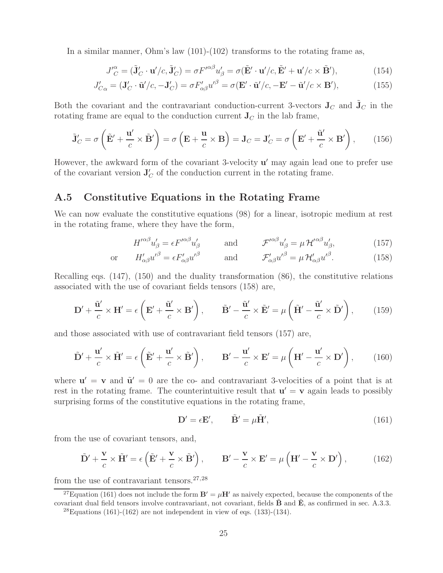In a similar manner, Ohm's law (101)-(102) transforms to the rotating frame as,

$$
J_C^{\prime \alpha} = (\tilde{\mathbf{J}}_C^{\prime} \cdot \mathbf{u}^{\prime}/c, \tilde{\mathbf{J}}_C^{\prime}) = \sigma F^{\prime \alpha \beta} u_{\beta}^{\prime} = \sigma (\tilde{\mathbf{E}}^{\prime} \cdot \mathbf{u}^{\prime}/c, \tilde{\mathbf{E}}^{\prime} + \mathbf{u}^{\prime}/c \times \tilde{\mathbf{B}}^{\prime}), \tag{154}
$$

$$
J'_{C\alpha} = (\mathbf{J}'_C \cdot \tilde{\mathbf{u}}'/c, -\mathbf{J}'_C) = \sigma F'_{\alpha\beta} u'^{\beta} = \sigma (\mathbf{E}' \cdot \tilde{\mathbf{u}}'/c, -\mathbf{E}' - \tilde{\mathbf{u}}'/c \times \mathbf{B}'),\tag{155}
$$

Both the covariant and the contravariant conduction-current 3-vectors  $J_C$  and  $J_C$  in the rotating frame are equal to the conduction current  $J_C$  in the lab frame,

$$
\tilde{\mathbf{J}}_C' = \sigma \left( \tilde{\mathbf{E}}' + \frac{\mathbf{u}'}{c} \times \tilde{\mathbf{B}}' \right) = \sigma \left( \mathbf{E} + \frac{\mathbf{u}}{c} \times \mathbf{B} \right) = \mathbf{J}_C = \mathbf{J}_C' = \sigma \left( \mathbf{E}' + \frac{\tilde{\mathbf{u}}'}{c} \times \mathbf{B}' \right), \quad (156)
$$

However, the awkward form of the covariant 3-velocity  $u'$  may again lead one to prefer use of the covariant version  $J_C'$  of the conduction current in the rotating frame.

### **A.5 Constitutive Equations in the Rotating Frame**

We can now evaluate the constitutive equations (98) for a linear, isotropic medium at rest in the rotating frame, where they have the form,

$$
H^{\prime\alpha\beta}u'_{\beta} = \epsilon F^{\prime\alpha\beta}u'_{\beta} \qquad \text{and} \qquad \mathcal{F}^{\prime\alpha\beta}u'_{\beta} = \mu \mathcal{H}^{\prime\alpha\beta}u'_{\beta}, \qquad (157)
$$

or 
$$
H'_{\alpha\beta}u'^{\beta} = \epsilon F'_{\alpha\beta}u'^{\beta}
$$
 and  $\mathcal{F}'_{\alpha\beta}u'^{\beta} = \mu \mathcal{H}'_{\alpha\beta}u'^{\beta}.$  (158)

Recalling eqs. (147), (150) and the duality transformation (86), the constitutive relations associated with the use of covariant fields tensors (158) are,

$$
\mathbf{D}' + \frac{\tilde{\mathbf{u}}'}{c} \times \mathbf{H}' = \epsilon \left( \mathbf{E}' + \frac{\tilde{\mathbf{u}}'}{c} \times \mathbf{B}' \right), \qquad \tilde{\mathbf{B}}' - \frac{\tilde{\mathbf{u}}'}{c} \times \tilde{\mathbf{E}}' = \mu \left( \tilde{\mathbf{H}}' - \frac{\tilde{\mathbf{u}}'}{c} \times \tilde{\mathbf{D}}' \right), \qquad (159)
$$

and those associated with use of contravariant field tensors (157) are,

$$
\tilde{\mathbf{D}}' + \frac{\mathbf{u}'}{c} \times \tilde{\mathbf{H}}' = \epsilon \left( \tilde{\mathbf{E}}' + \frac{\mathbf{u}'}{c} \times \tilde{\mathbf{B}}' \right), \qquad \mathbf{B}' - \frac{\mathbf{u}'}{c} \times \mathbf{E}' = \mu \left( \mathbf{H}' - \frac{\mathbf{u}'}{c} \times \mathbf{D}' \right), \tag{160}
$$

where  $\mathbf{u}' = \mathbf{v}$  and  $\tilde{\mathbf{u}}' = 0$  are the co- and contravariant 3-velocities of a point that is at rest in the rotating frame. The counterintuitive result that  $\mathbf{u}' = \mathbf{v}$  again leads to possibly surprising forms of the constitutive equations in the rotating frame,

$$
\mathbf{D}' = \epsilon \mathbf{E}', \qquad \tilde{\mathbf{B}}' = \mu \tilde{\mathbf{H}}', \tag{161}
$$

from the use of covariant tensors, and,

$$
\tilde{\mathbf{D}}' + \frac{\mathbf{v}}{c} \times \tilde{\mathbf{H}}' = \epsilon \left( \tilde{\mathbf{E}}' + \frac{\mathbf{v}}{c} \times \tilde{\mathbf{B}}' \right), \qquad \mathbf{B}' - \frac{\mathbf{v}}{c} \times \mathbf{E}' = \mu \left( \mathbf{H}' - \frac{\mathbf{v}}{c} \times \mathbf{D}' \right), \tag{162}
$$

from the use of contravariant tensors. $27,28$ 

<sup>27</sup>Equation (161) does not include the form  $\mathbf{B}' = \mu \mathbf{H}'$  as naively expected, because the components of the covariant dual field tensors involve contravariant, not covariant, fields  $\mathbf{\tilde{B}}$  and  $\mathbf{\tilde{E}}$ , as confirmed in sec. A.3.3.

 $^{28}$ Equations (161)-(162) are not independent in view of eqs. (133)-(134).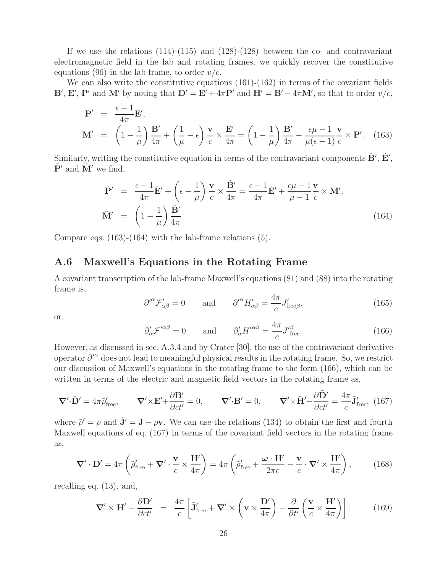If we use the relations  $(114)-(115)$  and  $(128)-(128)$  between the co- and contravariant electromagnetic field in the lab and rotating frames, we quickly recover the constitutive equations (96) in the lab frame, to order  $v/c$ .

We can also write the constitutive equations  $(161)-(162)$  in terms of the covariant fields **B**', **E**', **P**' and **M**' by noting that  $D' = E' + 4\pi P'$  and  $H' = B' - 4\pi M'$ , so that to order  $v/c$ ,

$$
\mathbf{P}' = \frac{\epsilon - 1}{4\pi} \mathbf{E}',
$$
\n
$$
\mathbf{M}' = \left(1 - \frac{1}{\mu}\right) \frac{\mathbf{B}'}{4\pi} + \left(\frac{1}{\mu} - \epsilon\right) \frac{\mathbf{v}}{c} \times \frac{\mathbf{E}'}{4\pi} = \left(1 - \frac{1}{\mu}\right) \frac{\mathbf{B}'}{4\pi} - \frac{\epsilon \mu - 1}{\mu(\epsilon - 1)} \frac{\mathbf{v}}{c} \times \mathbf{P}'. \quad (163)
$$

Similarly, writing the constitutive equation in terms of the contravariant components  $\tilde{\mathbf{B}}'$ ,  $\tilde{\mathbf{E}}'$ ,  $\tilde{\mathbf{P}}'$  and  $\tilde{\mathbf{M}}'$  we find,

$$
\tilde{\mathbf{P}}' = \frac{\epsilon - 1}{4\pi} \tilde{\mathbf{E}}' + \left(\epsilon - \frac{1}{\mu}\right) \frac{\mathbf{v}}{c} \times \frac{\tilde{\mathbf{B}}'}{4\pi} = \frac{\epsilon - 1}{4\pi} \tilde{\mathbf{E}}' + \frac{\epsilon \mu - 1}{\mu - 1} \frac{\mathbf{v}}{c} \times \tilde{\mathbf{M}}',
$$
\n
$$
\tilde{\mathbf{M}}' = \left(1 - \frac{1}{\mu}\right) \frac{\tilde{\mathbf{B}}'}{4\pi}.
$$
\n(164)

Compare eqs. (163)-(164) with the lab-frame relations (5).

### **A.6 Maxwell's Equations in the Rotating Frame**

A covariant transcription of the lab-frame Maxwell's equations (81) and (88) into the rotating frame is,

$$
\partial^{\prime \alpha} \mathcal{F}_{\alpha \beta}^{\prime} = 0 \quad \text{and} \quad \partial^{\prime \alpha} H_{\alpha \beta}^{\prime} = \frac{4\pi}{c} J_{\text{free}\beta}^{\prime}, \tag{165}
$$

or,

$$
\partial'_{\alpha} \mathcal{F}'^{\alpha\beta} = 0 \quad \text{and} \quad \partial'_{\alpha} H'^{\alpha\beta} = \frac{4\pi}{c} J'^{\beta}_{\text{free}}.
$$
 (166)

However, as discussed in sec. A.3.4 and by Crater [30], the use of the contravariant derivative operator  $\partial^{\alpha}$  does not lead to meaningful physical results in the rotating frame. So, we restrict our discussion of Maxwell's equations in the rotating frame to the form (166), which can be written in terms of the electric and magnetic field vectors in the rotating frame as,

$$
\nabla' \cdot \tilde{\mathbf{D}}' = 4\pi \tilde{\rho}'_{\text{free}}, \qquad \nabla' \times \mathbf{E}' + \frac{\partial \mathbf{B}'}{\partial ct'} = 0, \qquad \nabla' \cdot \mathbf{B}' = 0, \qquad \nabla' \times \tilde{\mathbf{H}}' - \frac{\partial \tilde{\mathbf{D}}'}{\partial ct'} = \frac{4\pi}{c} \tilde{\mathbf{J}}'_{\text{free}}, \tag{167}
$$

where  $\tilde{\rho}' = \rho$  and  $\tilde{\mathbf{J}}' = \mathbf{J} - \rho \mathbf{v}$ . We can use the relations (134) to obtain the first and fourth Maxwell equations of eq. (167) in terms of the covariant field vectors in the rotating frame as,

$$
\nabla' \cdot \mathbf{D}' = 4\pi \left( \tilde{\rho}'_{\text{free}} + \nabla' \cdot \frac{\mathbf{v}}{c} \times \frac{\mathbf{H}'}{4\pi} \right) = 4\pi \left( \tilde{\rho}'_{\text{free}} + \frac{\boldsymbol{\omega} \cdot \mathbf{H}'}{2\pi c} - \frac{\mathbf{v}}{c} \cdot \nabla' \times \frac{\mathbf{H}'}{4\pi} \right), \tag{168}
$$

recalling eq. (13), and,

$$
\nabla' \times \mathbf{H}' - \frac{\partial \mathbf{D}'}{\partial ct'} = \frac{4\pi}{c} \left[ \tilde{\mathbf{J}}'_{\text{free}} + \nabla' \times \left( \mathbf{v} \times \frac{\mathbf{D}'}{4\pi} \right) - \frac{\partial}{\partial t'} \left( \frac{\mathbf{v}}{c} \times \frac{\mathbf{H}'}{4\pi} \right) \right]. \tag{169}
$$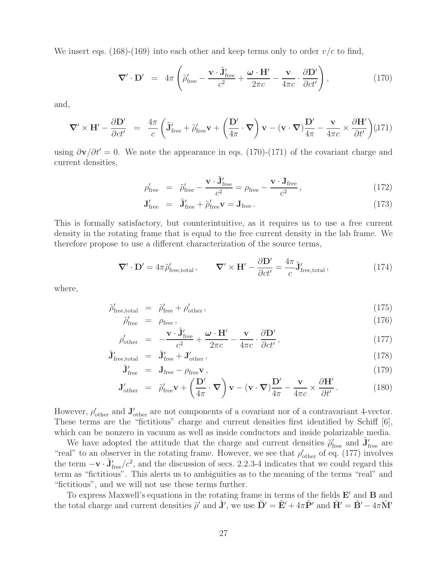We insert eqs. (168)-(169) into each other and keep terms only to order  $v/c$  to find,

$$
\nabla' \cdot \mathbf{D}' = 4\pi \left( \tilde{\rho}'_{\text{free}} - \frac{\mathbf{v} \cdot \tilde{\mathbf{J}}'_{\text{free}}}{c^2} + \frac{\boldsymbol{\omega} \cdot \mathbf{H}'}{2\pi c} - \frac{\mathbf{v}}{4\pi c} \cdot \frac{\partial \mathbf{D}'}{\partial ct'} \right), \tag{170}
$$

and,

$$
\nabla' \times \mathbf{H}' - \frac{\partial \mathbf{D}'}{\partial ct'} = \frac{4\pi}{c} \left( \tilde{\mathbf{J}}'_{\text{free}} + \tilde{\rho}'_{\text{free}} \mathbf{v} + \left( \frac{\mathbf{D}'}{4\pi} \cdot \nabla \right) \mathbf{v} - (\mathbf{v} \cdot \nabla) \frac{\mathbf{D}'}{4\pi} - \frac{\mathbf{v}}{4\pi c} \times \frac{\partial \mathbf{H}'}{\partial t'} \right) (171)
$$

using  $\partial \mathbf{v}/\partial t' = 0$ . We note the appearance in eqs. (170)-(171) of the covariant charge and current densities,

$$
\rho'_{\text{free}} = \tilde{\rho}'_{\text{free}} - \frac{\mathbf{v} \cdot \tilde{\mathbf{J}}'_{\text{free}}}{c^2} = \rho_{\text{free}} - \frac{\mathbf{v} \cdot \mathbf{J}_{\text{free}}}{c^2},\tag{172}
$$

$$
\mathbf{J}'_{\text{free}} = \tilde{\mathbf{J}}'_{\text{free}} + \tilde{\rho}'_{\text{free}} \mathbf{v} = \mathbf{J}_{\text{free}}.
$$
 (173)

This is formally satisfactory, but counterintuitive, as it requires us to use a free current density in the rotating frame that is equal to the free current density in the lab frame. We therefore propose to use a different characterization of the source terms,

$$
\nabla' \cdot \mathbf{D}' = 4\pi \tilde{\rho}'_{\text{free,total}}, \qquad \nabla' \times \mathbf{H}' - \frac{\partial \mathbf{D}'}{\partial ct'} = \frac{4\pi}{c} \tilde{\mathbf{J}}'_{\text{free,total}}, \tag{174}
$$

where,

$$
\tilde{\rho}'_{\text{free,total}} = \tilde{\rho}'_{\text{free}} + \rho'_{\text{other}},
$$
\n(175)

$$
\tilde{\rho}'_{\text{free}} = \rho_{\text{free}},
$$
\n
$$
\rho'_{\text{other}} = -\frac{\mathbf{v} \cdot \tilde{\mathbf{J}}'_{\text{free}}}{c^2} + \frac{\boldsymbol{\omega} \cdot \mathbf{H}'}{2\pi c} - \frac{\mathbf{v}}{4\pi c} \cdot \frac{\partial \mathbf{D}'}{\partial ct'},
$$
\n(177)

$$
\tilde{\mathbf{J}}'_{\text{free,total}} = \tilde{\mathbf{J}}'_{\text{free}} + \mathbf{J}'_{\text{other}}\,,\tag{178}
$$

$$
\tilde{\mathbf{J}}'_{\text{free}} = \mathbf{J}_{\text{free}} - \rho_{\text{free}} \mathbf{v} \,, \tag{179}
$$

$$
\mathbf{J}_{\text{other}}' = \tilde{\rho}_{\text{free}}' \mathbf{v} + \left(\frac{\mathbf{D}'}{4\pi} \cdot \mathbf{\nabla}\right) \mathbf{v} - (\mathbf{v} \cdot \mathbf{\nabla}) \frac{\mathbf{D}'}{4\pi} - \frac{\mathbf{v}}{4\pi c} \times \frac{\partial \mathbf{H}'}{\partial t'}.
$$
 (180)

However,  $\rho'_{\text{other}}$  and  $\mathbf{J}'_{\text{other}}$  are not components of a covariant nor of a contravariant 4-vector. These terms are the "fictitious" charge and current densities first identified by Schiff [6], which can be nonzero in vacuum as well as inside conductors and inside polarizable media.

We have adopted the attitude that the charge and current densities  $\tilde{\rho}'_{\text{free}}$  and  $\tilde{\mathbf{J}}'_{\text{free}}$  are "real" to an observer in the rotating frame. However, we see that  $\rho'_{\text{other}}$  of eq. (177) involves the term  $-\mathbf{v} \cdot \tilde{\mathbf{J}}'_{\text{f}}$  $f_{\text{free}}/c^2$ , and the discussion of secs. 2.2.3-4 indicates that we could regard this term as "fictitious". This alerts us to ambiguities as to the meaning of the terms "real" and "fictitious", and we will not use these terms further.

To express Maxwell's equations in the rotating frame in terms of the fields  $\mathbf{E}'$  and  $\mathbf{B}$  and the total charge and current densities  $\tilde{\rho}'$  and  $\tilde{\mathbf{J}}'$ , we use  $\tilde{\mathbf{D}}' = \tilde{\mathbf{E}}' + 4\pi \tilde{\mathbf{P}}'$  and  $\tilde{\mathbf{H}}' = \tilde{\mathbf{B}}' - 4\pi \tilde{\mathbf{M}}'$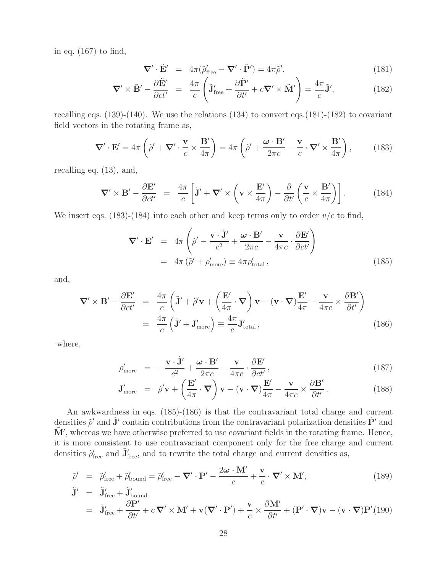in eq. (167) to find,

$$
\nabla' \cdot \tilde{\mathbf{E}}' = 4\pi (\tilde{\rho}'_{\text{free}} - \nabla' \cdot \tilde{\mathbf{P}}') = 4\pi \tilde{\rho}',\tag{181}
$$

$$
\nabla' \times \tilde{\mathbf{B}}' - \frac{\partial \tilde{\mathbf{E}}'}{\partial ct'} = \frac{4\pi}{c} \left( \tilde{\mathbf{J}}'_{\text{free}} + \frac{\partial \tilde{\mathbf{P}}'}{\partial t'} + c \nabla' \times \tilde{\mathbf{M}}' \right) = \frac{4\pi}{c} \tilde{\mathbf{J}}',\tag{182}
$$

recalling eqs.  $(139)-(140)$ . We use the relations  $(134)$  to convert eqs.  $(181)-(182)$  to covariant field vectors in the rotating frame as,

$$
\nabla' \cdot \mathbf{E}' = 4\pi \left( \tilde{\rho}' + \nabla' \cdot \frac{\mathbf{v}}{c} \times \frac{\mathbf{B}'}{4\pi} \right) = 4\pi \left( \tilde{\rho}' + \frac{\boldsymbol{\omega} \cdot \mathbf{B}'}{2\pi c} - \frac{\mathbf{v}}{c} \cdot \nabla' \times \frac{\mathbf{B}'}{4\pi} \right), \tag{183}
$$

recalling eq. (13), and,

$$
\nabla' \times \mathbf{B}' - \frac{\partial \mathbf{E}'}{\partial ct'} = \frac{4\pi}{c} \left[ \tilde{\mathbf{J}}' + \nabla' \times \left( \mathbf{v} \times \frac{\mathbf{E}'}{4\pi} \right) - \frac{\partial}{\partial t'} \left( \frac{\mathbf{v}}{c} \times \frac{\mathbf{B}'}{4\pi} \right) \right].
$$
 (184)

We insert eqs. (183)-(184) into each other and keep terms only to order  $v/c$  to find,

$$
\nabla' \cdot \mathbf{E}' = 4\pi \left( \tilde{\rho}' - \frac{\mathbf{v} \cdot \tilde{\mathbf{J}}'}{c^2} + \frac{\boldsymbol{\omega} \cdot \mathbf{B}'}{2\pi c} - \frac{\mathbf{v}}{4\pi c} \cdot \frac{\partial \mathbf{E}'}{\partial ct'} \right)
$$
  
=  $4\pi \left( \tilde{\rho}' + \rho'_{\text{more}} \right) \equiv 4\pi \rho'_{\text{total}},$  (185)

and,

$$
\nabla' \times \mathbf{B}' - \frac{\partial \mathbf{E}'}{\partial ct'} = \frac{4\pi}{c} \left( \tilde{\mathbf{J}}' + \tilde{\rho}' \mathbf{v} + \left( \frac{\mathbf{E}'}{4\pi} \cdot \nabla \right) \mathbf{v} - (\mathbf{v} \cdot \nabla) \frac{\mathbf{E}'}{4\pi} - \frac{\mathbf{v}}{4\pi c} \times \frac{\partial \mathbf{B}'}{\partial t'} \right)
$$
  
=  $\frac{4\pi}{c} \left( \tilde{\mathbf{J}}' + \mathbf{J}'_{\text{more}} \right) \equiv \frac{4\pi}{c} \mathbf{J}'_{\text{total}},$  (186)

where,

$$
\rho'_{\text{more}} = -\frac{\mathbf{v} \cdot \tilde{\mathbf{J}}'}{c^2} + \frac{\boldsymbol{\omega} \cdot \mathbf{B}'}{2\pi c} - \frac{\mathbf{v}}{4\pi c} \cdot \frac{\partial \mathbf{E}'}{\partial ct'},
$$
\n(187)

$$
\mathbf{J}'_{\text{more}} = \tilde{\rho}' \mathbf{v} + \left(\frac{\mathbf{E}'}{4\pi} \cdot \mathbf{\nabla}\right) \mathbf{v} - (\mathbf{v} \cdot \mathbf{\nabla}) \frac{\mathbf{E}'}{4\pi} - \frac{\mathbf{v}}{4\pi c} \times \frac{\partial \mathbf{B}'}{\partial t'}.
$$
 (188)

An awkwardness in eqs. (185)-(186) is that the contravariant total charge and current densities  $\tilde{\rho}'$  and  $\tilde{\mathbf{J}}'$  contain contributions from the contravariant polarization densities  $\tilde{\mathbf{P}}'$  and  $\tilde{M}'$ , whereas we have otherwise preferred to use covariant fields in the rotating frame. Hence, it is more consistent to use contravariant component only for the free charge and current densities  $\tilde{\rho}'_{\text{free}}$  and  $\tilde{\mathbf{J}}'_{\text{free}}$ , and to rewrite the total charge and current densities as,

$$
\tilde{\rho}' = \tilde{\rho}'_{\text{free}} + \tilde{\rho}'_{\text{bound}} = \tilde{\rho}'_{\text{free}} - \nabla' \cdot \mathbf{P}' - \frac{2\omega \cdot \mathbf{M}'}{c} + \frac{\mathbf{v}}{c} \cdot \nabla' \times \mathbf{M}',\tag{189}
$$

$$
\tilde{\mathbf{J}}' = \tilde{\mathbf{J}}'_{\text{free}} + \tilde{\mathbf{J}}'_{\text{bound}}
$$
\n
$$
= \tilde{\mathbf{J}}'_{\text{free}} + \frac{\partial \mathbf{P}'}{\partial t'} + c \, \nabla' \times \mathbf{M}' + \mathbf{v}(\nabla' \cdot \mathbf{P}') + \frac{\mathbf{v}}{c} \times \frac{\partial \mathbf{M}'}{\partial t'} + (\mathbf{P}' \cdot \nabla) \mathbf{v} - (\mathbf{v} \cdot \nabla) \mathbf{P}'(190)
$$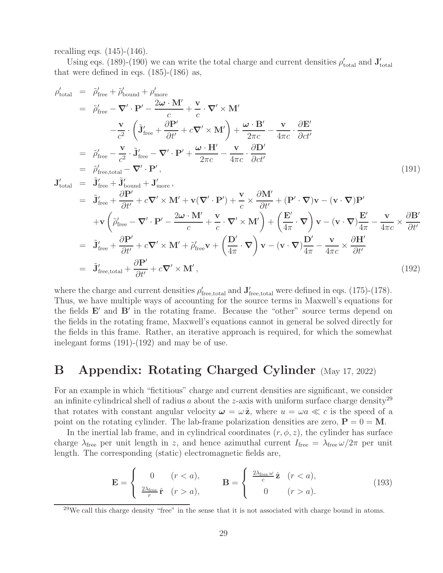recalling eqs. (145)-(146).

Using eqs. (189)-(190) we can write the total charge and current densities  $\rho'_{total}$  and  $\mathbf{J}'_{total}$ that were defined in eqs. (185)-(186) as,

$$
\rho'_{total} = \tilde{\rho}'_{free} + \tilde{\rho}'_{bound} + \rho'_{more} \n= \tilde{\rho}'_{free} - \nabla' \cdot \mathbf{P}' - \frac{2\omega \cdot \mathbf{M}'}{c} + \frac{\mathbf{v}}{c} \cdot \nabla' \times \mathbf{M}' \n- \frac{\mathbf{v}}{c^2} \cdot \left( \tilde{\mathbf{J}}'_{free} + \frac{\partial \mathbf{P}'}{\partial t'} + c \nabla' \times \mathbf{M}' \right) + \frac{\omega \cdot \mathbf{B}'}{2\pi c} - \frac{\mathbf{v}}{4\pi c} \cdot \frac{\partial \mathbf{E}'}{\partial ct'} \n= \tilde{\rho}'_{free} - \frac{\mathbf{v}}{c^2} \cdot \tilde{\mathbf{J}}'_{free} - \nabla' \cdot \mathbf{P}' + \frac{\omega \cdot \mathbf{H}'}{2\pi c} - \frac{\mathbf{v}}{4\pi c} \cdot \frac{\partial \mathbf{D}'}{\partial ct'} \n= \tilde{\rho}'_{free, total} - \nabla' \cdot \mathbf{P}', \qquad (191)
$$
\n
$$
\mathbf{J}'_{total} = \tilde{\mathbf{J}}'_{free} + \tilde{\mathbf{J}}'_{bound} + \mathbf{J}'_{more}, \qquad \qquad \mathbf{J}'_{total} = \tilde{\mathbf{J}}'_{free} + \tilde{\mathbf{J}}'_{bound} + \mathbf{J}'_{more}, \qquad (191)
$$
\n
$$
+ \mathbf{v} \left( \tilde{\rho}'_{free} - \nabla' \cdot \mathbf{P}' - \frac{2\omega \cdot \mathbf{M}'}{c} + \frac{\mathbf{v}}{c} \cdot \nabla' \times \mathbf{M}' \right) + \left( \frac{\mathbf{E}'}{4\pi} \cdot \nabla \right) \mathbf{v} - (\mathbf{v} \cdot \nabla) \frac{\mathbf{E}'}{4\pi} - \frac{\mathbf{v}}{4\pi c} \times \frac{\partial \mathbf{B}'}{\partial t'} \n= \tilde{\mathbf{J}}'_{free} + \frac{\partial \mathbf{P}'}{\partial t'} + c \nabla' \times \mathbf{M}' + \tilde{\rho}'_{free} \mathbf{v} + \left( \frac{\mathbf{D}'}{4\pi} \
$$

where the charge and current densities  $\rho'_{\text{free,total}}$  and  $\mathbf{J}'_{\text{free,total}}$  were defined in eqs. (175)-(178). Thus, we have multiple ways of accounting for the source terms in Maxwell's equations for the fields  $E'$  and  $B'$  in the rotating frame. Because the "other" source terms depend on the fields in the rotating frame, Maxwell's equations cannot in general be solved directly for the fields in this frame. Rather, an iterative approach is required, for which the somewhat inelegant forms (191)-(192) and may be of use.

## **B Appendix: Rotating Charged Cylinder** (May 17, 2022)

For an example in which "fictitious" charge and current densities are significant, we consider an infinite cylindrical shell of radius  $a$  about the z-axis with uniform surface charge density<sup>29</sup> that rotates with constant angular velocity  $\boldsymbol{\omega} = \omega \hat{\mathbf{z}}$ , where  $u = \omega a \ll c$  is the speed of a point on the rotating cylinder. The lab-frame polarization densities are zero,  $P = 0 = M$ .

In the inertial lab frame, and in cylindrical coordinates  $(r, \phi, z)$ , the cylinder has surface charge  $\lambda_{\text{free}}$  per unit length in z, and hence azimuthal current  $I_{\text{free}} = \lambda_{\text{free}} \omega / 2\pi$  per unit length. The corresponding (static) electromagnetic fields are,

$$
\mathbf{E} = \begin{cases} 0 & (r < a), \\ \frac{2\lambda_{\text{free}}}{r} \hat{\mathbf{r}} & (r > a), \end{cases} \qquad \mathbf{B} = \begin{cases} \frac{2\lambda_{\text{free}}\omega}{c} \hat{\mathbf{z}} & (r < a), \\ 0 & (r > a). \end{cases}
$$
(193)

 $^{29}$ We call this charge density "free" in the sense that it is not associated with charge bound in atoms.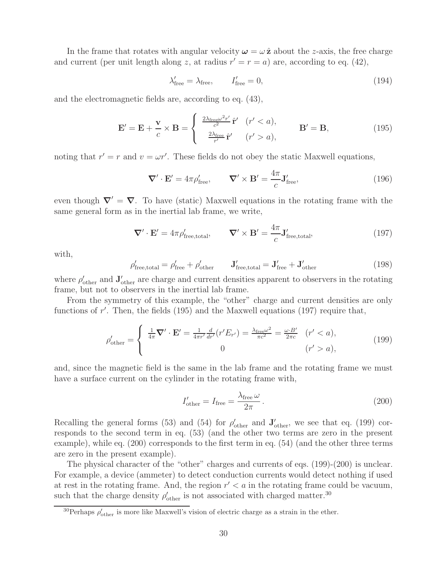In the frame that rotates with angular velocity  $\omega = \omega \hat{z}$  about the *z*-axis, the free charge and current (per unit length along z, at radius  $r' = r = a$ ) are, according to eq. (42),

$$
\lambda'_{\text{free}} = \lambda_{\text{free}}, \qquad I'_{\text{free}} = 0,\tag{194}
$$

and the electromagnetic fields are, according to eq. (43),

$$
\mathbf{E}' = \mathbf{E} + \frac{\mathbf{v}}{c} \times \mathbf{B} = \begin{cases} \frac{2\lambda_{\text{free}}\omega^2 r'}{c^2} \hat{\mathbf{r}}' & (r' < a), \\ \frac{2\lambda_{\text{free}}}{r'} \hat{\mathbf{r}}' & (r' > a), \end{cases} \qquad \mathbf{B}' = \mathbf{B}, \qquad (195)
$$

noting that  $r' = r$  and  $v = \omega r'$ . These fields do not obey the static Maxwell equations,

$$
\nabla' \cdot \mathbf{E}' = 4\pi \rho'_{\text{free}}, \qquad \nabla' \times \mathbf{B}' = \frac{4\pi}{c} \mathbf{J}'_{\text{free}}, \tag{196}
$$

even though  $\nabla' = \nabla$ . To have (static) Maxwell equations in the rotating frame with the same general form as in the inertial lab frame, we write,

$$
\nabla' \cdot \mathbf{E}' = 4\pi \rho'_{\text{free,total}}, \qquad \nabla' \times \mathbf{B}' = \frac{4\pi}{c} \mathbf{J}'_{\text{free,total}}, \tag{197}
$$

with,

$$
\rho'_{\text{free,total}} = \rho'_{\text{free}} + \rho'_{\text{other}} \qquad \mathbf{J}'_{\text{free,total}} = \mathbf{J}'_{\text{free}} + \mathbf{J}'_{\text{other}} \tag{198}
$$

where  $\rho'_{\text{other}}$  and  $\mathbf{J}'_{\text{other}}$  are charge and current densities apparent to observers in the rotating frame, but not to observers in the inertial lab frame.

From the symmetry of this example, the "other" charge and current densities are only functions of  $r'$ . Then, the fields (195) and the Maxwell equations (197) require that,

$$
\rho'_{\text{other}} = \begin{cases} \frac{1}{4\pi} \nabla' \cdot \mathbf{E}' = \frac{1}{4\pi r'} \frac{d}{dr'} (r' E_{r'}) = \frac{\lambda_{\text{free}} \omega^2}{\pi c^2} = \frac{\omega \cdot B'}{2\pi c} & (r' < a), \\ 0 & (r' > a), \end{cases} \tag{199}
$$

and, since the magnetic field is the same in the lab frame and the rotating frame we must have a surface current on the cylinder in the rotating frame with,

$$
I'_{\text{other}} = I_{\text{free}} = \frac{\lambda_{\text{free}} \omega}{2\pi}.
$$
\n(200)

Recalling the general forms (53) and (54) for  $\rho'_{other}$  and  $\mathbf{J}'_{other}$ , we see that eq. (199) corresponds to the second term in eq. (53) (and the other two terms are zero in the present example), while eq. (200) corresponds to the first term in eq. (54) (and the other three terms are zero in the present example).

The physical character of the "other" charges and currents of eqs. (199)-(200) is unclear. For example, a device (ammeter) to detect conduction currents would detect nothing if used at rest in the rotating frame. And, the region  $r' < a$  in the rotating frame could be vacuum, such that the charge density  $\rho'_{\text{other}}$  is not associated with charged matter.<sup>30</sup>

<sup>&</sup>lt;sup>30</sup>Perhaps  $\rho'_{other}$  is more like Maxwell's vision of electric charge as a strain in the ether.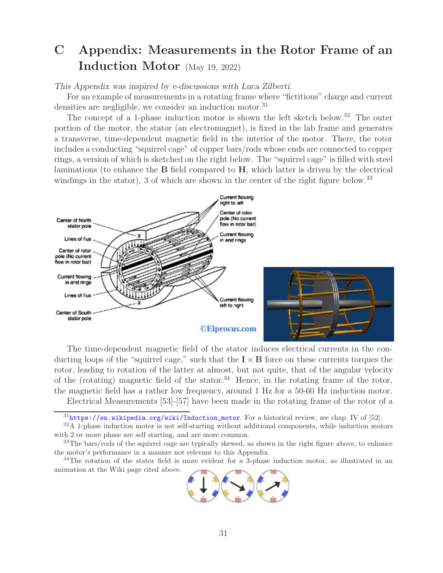# **C Appendix: Measurements in the Rotor Frame of an Induction Motor** (May 19, 2022)

*This Appendix was inspired by e-discussions with Luca Zilberti.*

For an example of measurements in a rotating frame where "fictitious" charge and current densities are negligible, we consider an induction motor.<sup>31</sup>

The concept of a 1-phase induction motor is shown the left sketch below.<sup>32</sup> The outer portion of the motor, the stator (an electromagnet), is fixed in the lab frame and generates a transverse, time-dependent magnetic field in the interior of the motor. There, the rotor includes a conducting "squirrel cage" of copper bars/rods whose ends are connected to copper rings, a version of which is sketched on the right below. The "squirrel cage" is filled with steel laminations (to enhance the **B** field compared to **H**, which latter is driven by the electrical windings in the stator), 3 of which are shown in the center of the right figure below.<sup>33</sup>



The time-dependent magnetic field of the stator induces electrical currents in the conducting loops of the "squirrel cage," such that the  $\mathbf{I} \times \mathbf{B}$  force on these currents torques the rotor, leading to rotation of the latter at almost, but not quite, that of the angular velocity of the (rotating) magnetic field of the stator.<sup>34</sup> Hence, in the rotating frame of the rotor, the magnetic field has a rather low frequency, around 1 Hz for a 50-60 Hz induction motor.

Electrical Measurements [53]-[57] have been made in the rotating frame of the rotor of a

<sup>&</sup>lt;sup>34</sup>The rotation of the stator field is more evident for a 3-phase induction motor, as illustrated in an animation at the Wiki page cited above.



 $31$ https://en.wikipedia.org/wiki/Induction\_motor. For a historical review, see chap. IV of [52].

<sup>&</sup>lt;sup>32</sup>A 1-phase induction motor is not self-starting without additional components, while induction motors with 2 or more phase are self starting, and are more common.

<sup>&</sup>lt;sup>33</sup>The bars/rods of the squirrel cage are typically skewed, as shown in the right figure above, to enhance the motor's performance in a manner not relevant to this Appendix.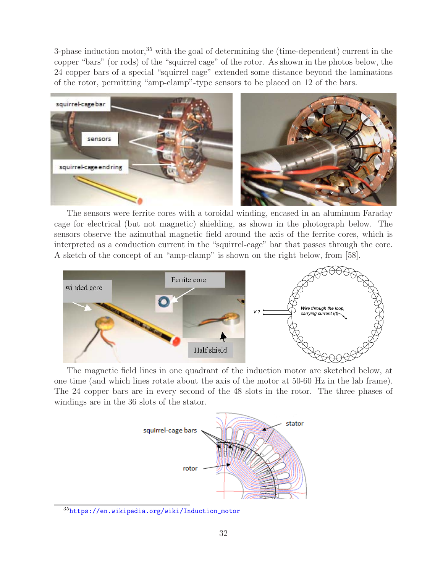3-phase induction motor,<sup>35</sup> with the goal of determining the (time-dependent) current in the copper "bars" (or rods) of the "squirrel cage" of the rotor. As shown in the photos below, the 24 copper bars of a special "squirrel cage" extended some distance beyond the laminations of the rotor, permitting "amp-clamp"-type sensors to be placed on 12 of the bars.



The sensors were ferrite cores with a toroidal winding, encased in an aluminum Faraday cage for electrical (but not magnetic) shielding, as shown in the photograph below. The sensors observe the azimuthal magnetic field around the axis of the ferrite cores, which is interpreted as a conduction current in the "squirrel-cage" bar that passes through the core. A sketch of the concept of an "amp-clamp" is shown on the right below, from [58].



The magnetic field lines in one quadrant of the induction motor are sketched below, at one time (and which lines rotate about the axis of the motor at 50-60 Hz in the lab frame). The 24 copper bars are in every second of the 48 slots in the rotor. The three phases of windings are in the 36 slots of the stator.



 $35$ https://en.wikipedia.org/wiki/Induction\_motor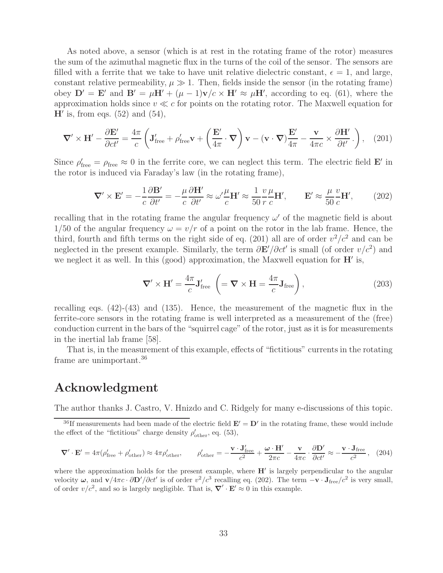As noted above, a sensor (which is at rest in the rotating frame of the rotor) measures the sum of the azimuthal magnetic flux in the turns of the coil of the sensor. The sensors are filled with a ferrite that we take to have unit relative dielectric constant,  $\epsilon = 1$ , and large, constant relative permeability,  $\mu \gg 1$ . Then, fields inside the sensor (in the rotating frame) obey  $\mathbf{D}' = \mathbf{E}'$  and  $\mathbf{B}' = \mu \mathbf{H}' + (\mu - 1)\mathbf{v}/c \times \mathbf{H}' \approx \mu \mathbf{H}'$ , according to eq. (61), where the approximation holds since  $v \ll c$  for points on the rotating rotor. The Maxwell equation for  $H'$  is, from eqs.  $(52)$  and  $(54)$ ,

$$
\nabla' \times \mathbf{H}' - \frac{\partial \mathbf{E}'}{\partial ct'} = \frac{4\pi}{c} \left( \mathbf{J}'_{\text{free}} + \rho'_{\text{free}} \mathbf{v} + \left( \frac{\mathbf{E}'}{4\pi} \cdot \nabla \right) \mathbf{v} - (\mathbf{v} \cdot \nabla) \frac{\mathbf{E}'}{4\pi} - \frac{\mathbf{v}}{4\pi c} \times \frac{\partial \mathbf{H}'}{\partial t'} \right), \quad (201)
$$

Since  $\rho'_{\text{free}} = \rho_{\text{free}} \approx 0$  in the ferrite core, we can neglect this term. The electric field **E**' in the rotor is induced via Faraday's law (in the rotating frame),

$$
\nabla' \times \mathbf{E}' = -\frac{1}{c} \frac{\partial \mathbf{B}'}{\partial t'} = -\frac{\mu}{c} \frac{\partial \mathbf{H}'}{\partial t'} \approx \omega' \frac{\mu}{c} \mathbf{H}' \approx \frac{1}{50} \frac{v}{r} \frac{\mu}{c} \mathbf{H}', \qquad \mathbf{E}' \approx \frac{\mu}{50} \frac{v}{c} \mathbf{H}', \tag{202}
$$

recalling that in the rotating frame the angular frequency  $\omega'$  of the magnetic field is about 1/50 of the angular frequency  $\omega = v/r$  of a point on the rotor in the lab frame. Hence, the third, fourth and fifth terms on the right side of eq. (201) all are of order  $v^2/c^2$  and can be neglected in the present example. Similarly, the term  $\frac{\partial \mathbf{E'}}{\partial ct'}$  is small (of order  $v/c^2$ ) and we neglect it as well. In this (good) approximation, the Maxwell equation for  $H'$  is,

$$
\nabla' \times \mathbf{H}' = \frac{4\pi}{c} \mathbf{J}'_{\text{free}} \left( = \nabla \times \mathbf{H} = \frac{4\pi}{c} \mathbf{J}_{\text{free}} \right), \tag{203}
$$

recalling eqs. (42)-(43) and (135). Hence, the measurement of the magnetic flux in the ferrite-core sensors in the rotating frame is well interpreted as a measurement of the (free) conduction current in the bars of the "squirrel cage" of the rotor, just as it is for measurements in the inertial lab frame [58].

That is, in the measurement of this example, effects of "fictitious" currents in the rotating frame are unimportant.<sup>36</sup>

## **Acknowledgment**

The author thanks J. Castro, V. Hnizdo and C. Ridgely for many e-discussions of this topic.

$$
\nabla' \cdot \mathbf{E}' = 4\pi (\rho'_{\text{free}} + \rho'_{\text{other}}) \approx 4\pi \rho'_{\text{other}}, \qquad \rho'_{\text{other}} = -\frac{\mathbf{v} \cdot \mathbf{J}'_{\text{free}}}{c^2} + \frac{\boldsymbol{\omega} \cdot \mathbf{H}'}{2\pi c} - \frac{\mathbf{v}}{4\pi c} \cdot \frac{\partial \mathbf{D}'}{\partial ct'} \approx -\frac{\mathbf{v} \cdot \mathbf{J}_{\text{free}}}{c^2}, \tag{204}
$$

where the approximation holds for the present example, where  $H'$  is largely perpendicular to the angular velocity  $\omega$ , and **v**/4πc ·  $\partial$ **D'**/ $\partial ct'$  is of order  $v^2/c^3$  recalling eq. (202). The term  $-\mathbf{v} \cdot \mathbf{J}_{\text{free}}/c^2$  is very small, of order  $v/c^2$ , and so is largely negligible. That is,  $\nabla' \cdot \mathbf{E}' \approx 0$  in this example.

<sup>&</sup>lt;sup>36</sup>If measurements had been made of the electric field  $\mathbf{E}' = \mathbf{D}'$  in the rotating frame, these would include the effect of the "fictitious" charge density  $\rho'_{\text{other}}$ , eq. (53),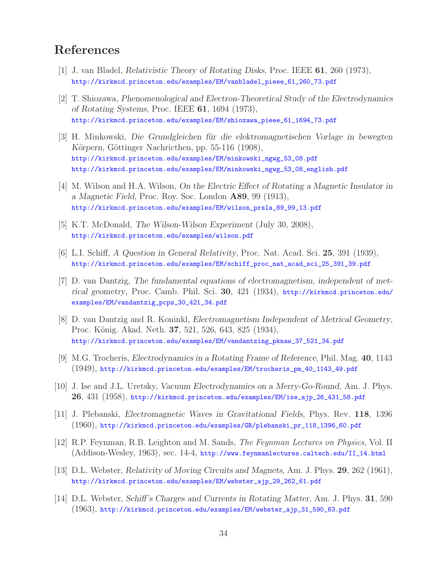# **References**

- [1] J. van Bladel, *Relativistic Theory of Rotating Disks*, Proc. IEEE **61**, 260 (1973), http://kirkmcd.princeton.edu/examples/EM/vanbladel\_pieee\_61\_260\_73.pdf
- [2] T. Shiozawa, *Phenomenological and Electron-Theoretical Study of the Electrodynamics of Rotating Systems*, Proc. IEEE **61**, 1694 (1973), http://kirkmcd.princeton.edu/examples/EM/shiozawa\_pieee\_61\_1694\_73.pdf
- [3] H. Minkowski, *Die Grundgleichen f¨ur die elektromagnetischen Vorlage in bewegten Körpern*, Göttinger Nachricthen, pp. 55-116 (1908), http://kirkmcd.princeton.edu/examples/EM/minkowski\_ngwg\_53\_08.pdf http://kirkmcd.princeton.edu/examples/EM/minkowski\_ngwg\_53\_08\_english.pdf
- [4] M. Wilson and H.A. Wilson, *On the Electric Effect of Rotating a Magnetic Insulator in a Magnetic Field*, Proc. Roy. Soc. London **A89**, 99 (1913), http://kirkmcd.princeton.edu/examples/EM/wilson\_prsla\_89\_99\_13.pdf
- [5] K.T. McDonald, *The Wilson-Wilson Experiment* (July 30, 2008), http://kirkmcd.princeton.edu/examples/wilson.pdf
- [6] L.I. Schiff, *A Question in General Relativity*, Proc. Nat. Acad. Sci. **25**, 391 (1939), http://kirkmcd.princeton.edu/examples/EM/schiff\_proc\_nat\_acad\_sci\_25\_391\_39.pdf
- [7] D. van Dantzig, *The fundamental equations of electromagnetism, independent of metrical geometry*, Proc. Camb. Phil. Sci. **30**, 421 (1934), http://kirkmcd.princeton.edu/ examples/EM/vandantzig\_pcps\_30\_421\_34.pdf
- [8] D. van Dantzig and R. Koninkl, *Electromagnetism Independent of Metrical Geometry*, Proc. König. Akad. Neth. **37**, 521, 526, 643, 825 (1934), http://kirkmcd.princeton.edu/examples/EM/vandantzing\_pknaw\_37\_521\_34.pdf
- [9] M.G. Trocheris, *Electrodynamics in a Rotating Frame of Reference*, Phil. Mag. **40**, 1143 (1949), http://kirkmcd.princeton.edu/examples/EM/trocheris\_pm\_40\_1143\_49.pdf
- [10] J. Ise and J.L. Uretsky, *Vacuum Electrodynamics on a Merry-Go-Round*, Am. J. Phys. **26**, 431 (1958), http://kirkmcd.princeton.edu/examples/EM/ise\_ajp\_26\_431\_58.pdf
- [11] J. Plebanski, *Electromagnetic Waves in Gravitational Fields*, Phys. Rev. **118**, 1396 (1960), http://kirkmcd.princeton.edu/examples/GR/plebanski\_pr\_118\_1396\_60.pdf
- [12] R.P. Feynman, R.B. Leighton and M. Sands, *The Feynman Lectures on Physics*, Vol. II (Addison-Wesley, 1963), sec. 14-4, http://www.feynmanlectures.caltech.edu/II\_14.html
- [13] D.L. Webster, *Relativity of Moving Circuits and Magnets*, Am. J. Phys. **29**, 262 (1961), http://kirkmcd.princeton.edu/examples/EM/webster\_ajp\_29\_262\_61.pdf
- [14] D.L. Webster, *Schiff's Charges and Currents in Rotating Matter*, Am. J. Phys. **31**, 590 (1963), http://kirkmcd.princeton.edu/examples/EM/webster\_ajp\_31\_590\_63.pdf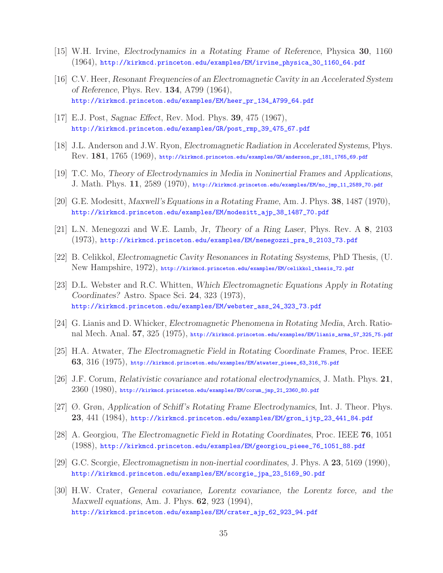- [15] W.H. Irvine, *Electrodynamics in a Rotating Frame of Reference*, Physica **30**, 1160 (1964), http://kirkmcd.princeton.edu/examples/EM/irvine\_physica\_30\_1160\_64.pdf
- [16] C.V. Heer, *Resonant Frequencies of an Electromagnetic Cavity in an Accelerated System of Reference*, Phys. Rev. **134**, A799 (1964), http://kirkmcd.princeton.edu/examples/EM/heer\_pr\_134\_A799\_64.pdf
- [17] E.J. Post, *Sagnac Effect*, Rev. Mod. Phys. **39**, 475 (1967), http://kirkmcd.princeton.edu/examples/GR/post\_rmp\_39\_475\_67.pdf
- [18] J.L. Anderson and J.W. Ryon, *Electromagnetic Radiation in Accelerated Systems*, Phys. Rev. **181**, 1765 (1969), http://kirkmcd.princeton.edu/examples/GR/anderson\_pr\_181\_1765\_69.pdf
- [19] T.C. Mo, *Theory of Electrodynamics in Media in Noninertial Frames and Applications*, J. Math. Phys. **11**, 2589 (1970), http://kirkmcd.princeton.edu/examples/EM/mo\_jmp\_11\_2589\_70.pdf
- [20] G.E. Modesitt, *Maxwell's Equations in a Rotating Frame*, Am. J. Phys. **38**, 1487 (1970), http://kirkmcd.princeton.edu/examples/EM/modesitt\_ajp\_38\_1487\_70.pdf
- [21] L.N. Menegozzi and W.E. Lamb, Jr, *Theory of a Ring Laser*, Phys. Rev. A **8**, 2103 (1973), http://kirkmcd.princeton.edu/examples/EM/menegozzi\_pra\_8\_2103\_73.pdf
- [22] B. Celikkol, *Electromagnetic Cavity Resonances in Rotating Ssystems*, PhD Thesis, (U. New Hampshire, 1972), http://kirkmcd.princeton.edu/examples/EM/celikkol\_thesis\_72.pdf
- [23] D.L. Webster and R.C. Whitten, *Which Electromagnetic Equations Apply in Rotating Coordinates?* Astro. Space Sci. **24**, 323 (1973), http://kirkmcd.princeton.edu/examples/EM/webster\_ass\_24\_323\_73.pdf
- [24] G. Lianis and D. Whicker, *Electromagnetic Phenomena in Rotating Media*, Arch. Rational Mech. Anal. **57**, 325 (1975), http://kirkmcd.princeton.edu/examples/EM/lianis\_arma\_57\_325\_75.pdf
- [25] H.A. Atwater, *The Electromagnetic Field in Rotating Coordinate Frames*, Proc. IEEE **63**, 316 (1975), http://kirkmcd.princeton.edu/examples/EM/atwater\_pieee\_63\_316\_75.pdf
- [26] J.F. Corum, *Relativistic covariance and rotational electrodynamics*, J. Math. Phys. **21**,  $2360\ (1980)$ , http://kirkmcd.princeton.edu/examples/EM/corum\_jmp\_21\_2360\_80.pdf
- [27] Ø. Grøn, *Application of Schiff's Rotating Frame Electrodynamics*, Int. J. Theor. Phys. **23**, 441 (1984), http://kirkmcd.princeton.edu/examples/EM/gron\_ijtp\_23\_441\_84.pdf
- [28] A. Georgiou, *The Electromagnetic Field in Rotating Coordinates*, Proc. IEEE **76**, 1051 (1988), http://kirkmcd.princeton.edu/examples/EM/georgiou\_pieee\_76\_1051\_88.pdf
- [29] G.C. Scorgie, *Electromagnetism in non-inertial coordinates*, J. Phys. A **23**, 5169 (1990), http://kirkmcd.princeton.edu/examples/EM/scorgie\_jpa\_23\_5169\_90.pdf
- [30] H.W. Crater, *General covariance, Lorentz covariance, the Lorentz force, and the Maxwell equations*, Am. J. Phys. **62**, 923 (1994), http://kirkmcd.princeton.edu/examples/EM/crater\_ajp\_62\_923\_94.pdf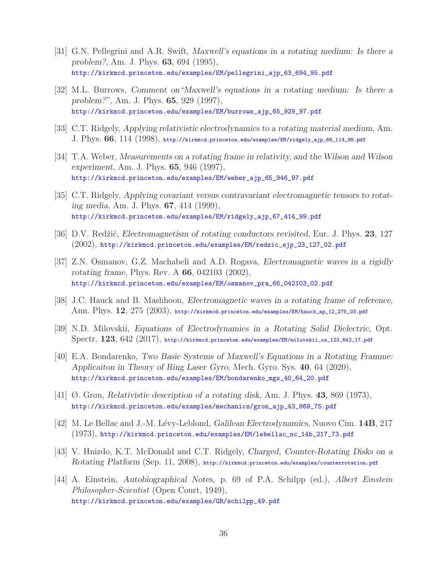- [31] G.N. Pellegrini and A.R. Swift, *Maxwell's equations in a rotating medium: Is there a problem?*, Am. J. Phys. **63**, 694 (1995), http://kirkmcd.princeton.edu/examples/EM/pellegrini\_ajp\_63\_694\_95.pdf
- [32] M.L. Burrows, *Comment on"Maxwell's equations in a rotating medium: Is there a problem?"*, Am. J. Phys. **65**, 929 (1997), http://kirkmcd.princeton.edu/examples/EM/burrows\_ajp\_65\_929\_97.pdf
- [33] C.T. Ridgely, *Applying relativistic electrodynamics to a rotating material medium*, Am. J. Phys. **66**, 114 (1998), http://kirkmcd.princeton.edu/examples/EM/ridgely\_ajp\_66\_114\_98.pdf
- [34] T.A. Weber, *Measurements on a rotating frame in relativity, and the Wilson and Wilson experiment*, Am. J. Phys. **65**, 946 (1997), http://kirkmcd.princeton.edu/examples/EM/weber\_ajp\_65\_946\_97.pdf
- [35] C.T. Ridgely, *Applying covariant versus contravariant electromagnetic tensors to rotating media*, Am. J. Phys. **67**, 414 (1999), http://kirkmcd.princeton.edu/examples/EM/ridgely\_ajp\_67\_414\_99.pdf
- [36] D.V. Redžić, *Electromagnetism of rotating conductors revisited*, Eur. J. Phys. 23, 127 (2002), http://kirkmcd.princeton.edu/examples/EM/redzic\_ejp\_23\_127\_02.pdf
- [37] Z.N. Osmanov, G.Z. Machabeli and A.D. Rogava, *Electromagnetic waves in a rigidly rotating frame*, Phys. Rev. A **66**, 042103 (2002), http://kirkmcd.princeton.edu/examples/EM/osmanov\_pra\_66\_042103\_02.pdf
- [38] J.C. Hauck and B. Mashhoon, *Electromagnetic waves in a rotating frame of reference*, Ann. Phys. **12**, 275 (2003), http://kirkmcd.princeton.edu/examples/EM/hauck\_ap\_12\_275\_03.pdf
- [39] N.D. Milovskii, *Equations of Electrodynamics in a Rotating Solid Dielectric*, Opt. Spectr. **123**, 642 (2017), http://kirkmcd.princeton.edu/examples/EM/milovskii\_os\_123\_642\_17.pdf
- [40] E.A. Bondarenko, *Two Basic Systems of Maxwell's Equations in a Rotating Framme: Applicaiton in Theory of Ring Laser Gyro*, Mech. Gyro. Sys. **40**, 64 (2020), http://kirkmcd.princeton.edu/examples/EM/bondarenko\_mgs\_40\_64\_20.pdf
- [41] Ø. Grøn, *Relativistic description of a rotating disk*, Am. J. Phys. **43**, 869 (1973), http://kirkmcd.princeton.edu/examples/mechanics/gron\_ajp\_43\_869\_75.pdf
- [42] M. Le Bellac and J.-M. L´evy-Leblond, *Galilean Electrodynamics*, Nuovo Cim. **14B**, 217 (1973), http://kirkmcd.princeton.edu/examples/EM/lebellac\_nc\_14b\_217\_73.pdf
- [43] V. Hnizdo, K.T. McDonald and C.T. Ridgely, *Charged, Counter-Rotating Disks on a Rotating Platform* (Sep. 11, 2008), http://kirkmcd.princeton.edu/examples/counterrotation.pdf
- [44] A. Einstein, *Autobiographical Notes*, p. 69 of P.A. Schilpp (ed.), *Albert Einstein Philosopher-Scientist* (Open Court, 1949), http://kirkmcd.princeton.edu/examples/GR/schilpp\_49.pdf